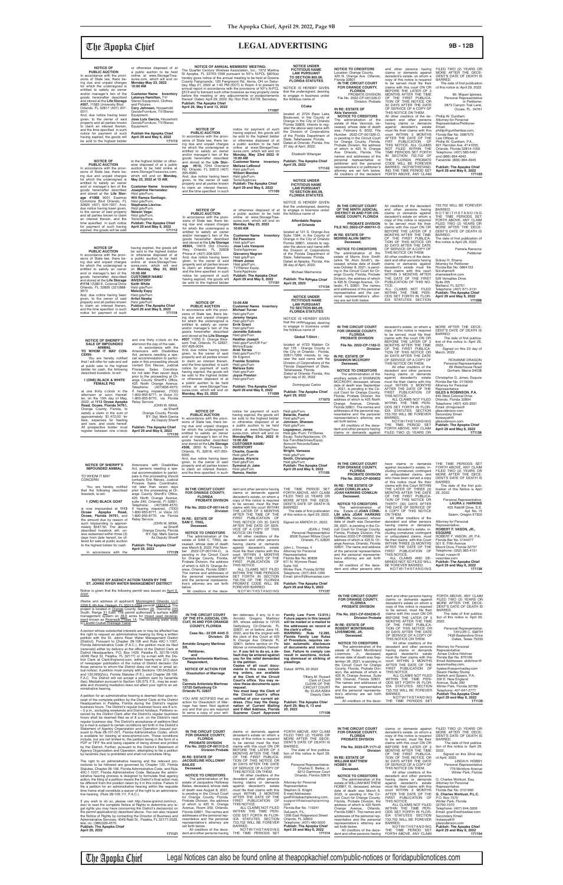# The Apopka Chief **LEGAL ADVERTISING 9B - 12B**

**NOTICE OF PUBLIC AUCTION**<br>In accordance with the provi-<br>sions of State law, there be-<br>ing due and unpaid charges<br>for which the undersigned is<br>entitled to satisfy an owner and/or manager's lien of the<br>goods hereinafter described<br>a**ge #610**, 7244 Overland<br>**Rd. Orlando, FL 32810 (407)** 295-6580. And, due notice having been given, to the owner of said property and all parties known<br>to claim an interest therein,<br>and the time specified in such notice for payment of such having expired, the goods will<br>be sold to the highest bidder<br>a public auction to be held<br>online at www.StorageTreasures.com, which will end on **Monday, May 23rd 2022 @ 10:00 AM Customer Name Inventory Melissa LeBoeuf** Hsld gds/Furn **Wilbert Mendez** Hsld gds/Furn,<br>Tools/Applnces **Publish: The Apopka Chief April 29 and May 6, 2022 171100 NOTICE OF PUBLIC AUCTION** In accordance with the provi-sions of State law, there be-ing due and unpaid charges for which the undersigned is<br>entitled to satisfy an owner<br>and/or manager's lien of the<br>goods hereinatrer described<br>and stored at the Life Storage<br>#8304, 14916 Old Cheney<br>Hwy, Orlando, FL 32828<br>Phone #: (407) 208-9257. And, due notice having been<br>given, to the owner of said<br>property and all parties known<br>to claim an interest therein,<br>and the time specified in such notice for payment of such having expired, the goods will be sold to the highest bidder or otherwise disposed of at a public auction to be held online at www.StorageTrea-sures.com, which will end on **Monday, May 23, 2022 10:00 AM Customer Name Inventory Ed Passmore** Hsld gds/Furn **Jose Luis Vasquez** Tools/Applnces **Giovanny Negron**<br>Hsld ods/Furn Hsld gds/Furn<br>**Hiram Jones<br>Hsld gds/Fur**n,<br>TV/Stereo Equip,<br>Tools/Applnces<br>**Publish: The Apopka Chief April 29 and May 6, 2022 171101 NOTICE TO CREDITORS** Location: Orange County,<br>425 N. Orange Ave. Orlando, Florida 32801 **IN THE CIRCUIT COURT FOR ORANGE COUNTY, FLORIDA**  PROBATE DIVISION File No. 2022-CP-001326-O Division: Probate **IN RE: ESTATE OF ANIE Varonick.**<br> **NOTICE TO CREDITORS**<br>
The administration of the<br>
estate of Akie Varonick, de-<br>
ceased, whose date of death<br>
was; February 6, 2022, File<br>
Number 2022-CP-001326-O, is pending in the Circuit Court for Orange County, Florida, Probate Division, the address of which is 425 N. Orange Ave. Orlando, Florida. The names and addresses of the personal representative or petitioner and the personal representative's or petitioner's attorney are set forh below. All creditors of the decedent and other persons having claims or demands against decedent's estate, on whom a copy of this notice is required<br>to be served must file their<br>claims with this court ON OR<br>BEFORE THE LATER OF 3 MONTHS AFTER THE TIME OF THE FIRST PUBLICA-TION OF THIS NOTICE OR 30 DAYS AFTER THE DATE OF SERVICE OF A COPY OF THIS NOTICE ON THEM. All other creditors of the de-<br>cedent and other persons cedent and other persons<br>having claims or demands<br>against decedent's estate<br>must file their claims with this<br>court WITHIN 3 MONTHS<br>AFTER THE DATE OF THE<br>FIRIT PUBLICATION<br>NOT FILED WITHIN THE<br>TIME PERIODS SET FORTH<br>IN SECT THE FLORIDA PROBATE CODE WILL BE FOREVER BARRED. NOTWITHSTAND-ING THE TIME PERIOD SET FORTH ABOVE, ANY CLAIM FILED TWO (2) YEARS OR MORE AFTER THE DECE-DENT'S DATE OF DEATH IS BARRED. The date of first publication<br>of this notice is: April 29, 2022. Mr. Miguel Iglesias, Personal Representative or Petitioner, 2873 Canyon Trail Lane, Ocoee, FL. 34761 Phillip W. Gunthert, Attorney for Personal Representative/Petitioner Email: phillip@gunthertlaw.com, Florida Bar No. 0087575 Law Offices of Phillip W. Gunthert, P.A., 821 Herndon Ave. #141055, Orlando, Florida 32814-1055 Telephone: (407) 580-5491 and (866) 894-4945 Facsimile: (866) 894-4945 **Publish: The Apopka Chief April 29 and May 6, 2022 171103 NOTICE OF<br>PUBLIC AUCTION PUBLIC AUCTION**<br> **PUBLIC AUCTION**<br>
in accordance with the provi-<br>
sions of State law, there be-<br>
ing due and unpaid charges<br>
for which the undersigned is<br>
entitled to satisfy an owner<br>
and stored at the Life Storage<br>
good given, to the owner of said property and all parties known to claim an interest therein, and the time specified in such notice for payment of such<br>having expired, the goods will<br>be sold to the highest bidder<br>or otherwise disposed of at<br>a public auction to be held<br>online at www.StorageTreasures.com, which will end on **Monday/May 23rd, 2022 @ 10:00 AM CUSTOMER NAME/ INVENTORY Charite, Guerda** Hsld gds/Furn **Jacues, Alyncia** Hsld gds/Furn **Symond Jr, Jake** Hsld gds/Furn **Ramos, Hector** Hsld gds/Furn **Belardo, Pashel** Hsld gds/Furn **Johnson, Shareen** Hsld gds/Furn **Legagneur, Jones** Hsld gds /Furn; TV/Stereo<br>Equip; Tools/Appliances; Of-Lquip, 10016/19pma.co.e.,<br>fice Furn/Machines/Equip Account Records/Sales Samples **Wright, Vanessa** Hsld gds/Furn **Smith, Christopher** Hsld gds/Furn **Publish: The Apopka Chief April 29 and May 6, 2022 171105 NOTICE OF<br>
<b>PUBLIC AUCTION**<br>
In accordance with the provi-<br>
sions of State law, there being due and unpaid charges for which the undersigned is entitled to satisfy an owner and/or manager's lien of the goods hereinafter described and stored at the **Life Storage #037** 11955 S. Orange Blos-som Trail, Orlando, FL 32837, 407-826-0024. And, due notice having been given, to the owner of said property and all parties known to claim an interest therein, and the time specified in such notice for payment of such having expired, the goods will be sold to the highest bidder or otherwise disposed of at a public auction to be held online at www.StorageTrea-sures.com, which will end on **Monday, May 23, 2022 10:00 AM Customer Name Inventory Michael Turner** Hsld gds/Furn **Jeremy Vargas** Hsld gds/Furn **Errik Grant** Hsld gds/Furn **Jannette Salcedo** Hsld gds/Furn **Heather Joseph** Hsld gds/Furn/Off Fur/ Mchns/Equip **Ariel Torres** Hsld gds/Furn/TV/ Str Eqpmnt **Frankie Sciolino** Hsld gds/Furn **Melissa Soto** Hsld gds/Furn **Joyce Preston** Hsld gds/Furn **Publish: The Apopka Chief April 29 and May 6, 2022 171099 NOTICE OF ANNUAL MEMBERS' MEETING:**<br>The Quarter Century Wireless Association, Inc., 1972 Martina<br>St Apopka, FL 32703-1558 pursuant to NY's N-PCL §605(a) hereby gives notice of the annual meeting to be held at Greene<br>County Fairgrounds, 120 Fairground Rd, Xenia, OH on Satur-<br>day, May 21, 2022 at 1:40 FM (EDT) in Room 4 to present its<br>annual report in accordance with the pro before the meeting or any adjournments or postponements thereof. Dated: April 29, 2022. By: Ron Fish, KX1W, Secretary. **Publish: The Apopka Chief April 29, May 6 and 13, 2022 171097 IN THE CIRCUIT COURT FOR ORANGE COUNTY,**  dent and other persons having THE TIME PERIOD SET FORTH ABOVE, ANY CLAIM FILED TWO (2) YEARS OR MORE AFTER THE DECE-**NOTICE OF PUBLIC AUCTION** In accordance with the provisions of State law, there being due and unpaid charges for which the undersigned is entitled to satisfy an owner and/ or manager's lien of the goods hereinafter described and stored at the **Life Storage #1068** 9001 Eastmar<br>Commons Blvd Orlando, FL<br>32825 (407) 504-1957. And, due notice having been given, to the owner of said property and all parties known to claim<br>an interest therein, and the<br>time specified in such notice for payment of such having expired, the goods will be sold to the highest bidder or otherwise disposed of at a public auction to be held online at www.StorageTreasures.com, which will end on **Monday, May 23, 2022 at 10 AM. Customer Name Inventory Josephine Hernandez:** Hsld gds/Furn; **Will Ramos Santiago:** Hsld gds/Furn; **Stephanie Llavina:** Hsld gds/Furn; **Nelson Vega:** Hsld gds/Furn,<br>Tools/Applnce. **Publish: The Apopka Chief April 29 and May 6, 2022 171112 NOTICE OF<br>
<b>PUBLIC AUCTION**<br>
In accordance with the provi-<br>
sions of State law, there being due and unpaid charges for which the undersigned is entitled to satisfy an owner and/or manager's lien of the goods hereinafter described and stored at the **Life Storage #507,** 11583 University Blvd. Orlando, FL 32817 (407) 207- 0011. And, due notice having been given, to the owner of said property and all parties known to claim an interest therein, and the time specified in such notice for payment of such having expired, the goods will be sold to the highest bidder or otherwise disposed of at a public auction to be held online at www.StorageTreasures.com, which will end on **Monday-May 23, 2022 10:00 AM Customer Name Inventory Latonya Hamilton,** TV/ Stereo Equipment, Clothes and Pictures. **Cory Johnson,** Household Goods/Furniture, TV/Stereo Equipment. **Jose Luis Garcia,** Household Goods/Furniture, TV/Stereo Equipment. **Publish the Apopka Chief April 29 and May 6, 2022 171113 NOTICE UNDER FICTITIOUS NAME LAW PURSUANT TO SECTION 865.09, FLORIDA STATUTES** NOTICE IS HEREBY GIVEN that the undersigned, desiring<br>to engage in business under<br>the fictitious name of **Affordable Repipe of Orlando** located at 121 S. Orange Ave Suite 1584, in the County of Orange in the City of Orlando Florida 32801, intends to register the above said name with the Division of Corporations of the Florida Department of State, Tallahassee, Florida. Dated at Apopka, Florida, this 26 day of April, 2022. Michael Macherone **Publish: The Apopka Chief April 29, 2022 171134 IN THE CIRCUIT COURT FOR ORANGE COUNTY, FLORIDA PROBATE DIVISION File No. 2022-CP-000852 IN RE: THE ESTATE OF JOAN CONKLIN a/k/a JOAN HARKINS CONKLIN** have claims or demands against decedent's estate, in-cluding unmatured, contingent or unliquidated claims, and who have been served a copy<br>of this notice must file their claims with this Court WITHIN THE LATER OF THREE (3) MONTHS AFTER THE DATE OF THE FIRST PUBLICA-THE TIME PERIODS SET FORTH ABOVE, ANY CLAIM FILED TWO (2) YEARS OR MORE AFTER THE DECE-DENT'S DATE OF DEATH IS BARRED. The date of the first pub-**IN THE CIRCUIT COURT FOR ORANGE COUNTY, FLORIDA PROBATE DIVISION File No. 2022-CP-1182-O Division IN RE: ESTATE OF SHANNON MCCRORY Deceased. NOTICE TO CREDITORS** The administration of the ancillary estate of SHANNON MCCRORY, deceased, whose date of death was September 1, 2021, is pending in the Cir-cuit Court for Orange County, Florida, Probate Division, the address of which is 425 North Orange Avenue, Orlando, Florida 32801. The names and addresses of the personal rep-resentative and the personal representative's attorney are set forth below. All creditors of the decedent and other persons having claims or demands against decedent's estate, on whom a copy of this notice is required<br>to be served, must file their claims with this court ON OR<br>BEFORE THE LATER OF 3<br>MONTHS AFTER THE TIME<br>OF THE FIRST PUBLICA-<br>TION OF THIS NOTICE OR 30 DAYS AFTER THE DATE OF SERVICE OF A COPY OF THIS NOTICE ON THEM. All other creditors of the decedent and other persons<br>having claims or demands<br>against decedent's estate<br>must file their claims with this<br>court WITHIN 3 MONTHS<br>AFTER THE DATE OF THE<br>FIRIST PUBLICATION OF<br>THIS NOTICE. ALL CLAIMS NOT FILED WITHIN THE TIME PERI-ODS SET FORTH IN FLOR-IDA STATUTES SECTION 733.702 WILL BE FOREVER BARRED. NOTWITHSTANDING THE TIME PERIOD SET FORTH ABOVE, ANY CLAIM FILED TWO (2) YEARS OR MORE AFTER THE DECE-DENT'S DATE OF DEATH IS BARRED. The date of first publica-<br>tion of this notice is: April 29, 2022. Signed on this 23 day of March, 2022. ROXANNE DRAGON Personal Representative 69 Waterhouse Road Gorham, Maine 04038 Christopher G. Jones, Esquire Florida Bar No. 0119040 Attorney for Personal<br>Representative<br>**GILES & ROBINSON, P.A.** 445 West Colonial Drive Orlando, Florida 32804 Telephone: (407) 425-3591 Email: chrisjones@ gilesrobinson.com Secondary Email: lindawyatt@ gilesrobinson.com<br>**Publish: The Apopka Chief Publish: The Apopka Chief April 29 and May 6, 2022 171136 IN THE CIRCUIT COURT OF THE NINTH JUDICIAL DISTRICT IN AND FOR OR-ANGE COUNTY, FLORIDA PROBATE DIVISION FILE NO.:2022-CP-000741-O IN RE: ESTATE OF MORRIS ALVIN SMITH Deceased, NOTICE TO CREDITORS**<br>The administration of the estate of Morris Alvin Smith (a/k/a "M. Alvin Smith"), deceased, whose date of death was October 8, 2021, is pend-ing in the Circuit Court for Or-ange County, Florida, Probate Division, the address of which is 425 N. Orange Avenue, Or-lando, FL 32801. The names and addresses of the personal representative and the per-sonal representative's attor-ney are set forth below. All creditors of the decedent and other persons having claims or demands against decedent's estate on whom a copy of this notice is required<br>to be served must file their<br>daims with this court ON OR<br>BEFORE THE LATER OF 3<br>MONTHS AFTER THE TIME<br>OF THE FIRST PUBLICA-<br>TION OF THIS NOTICE OR 30 DAYS AFTER THE DATE OF SERVICE OF A COPY OF THIS NOTICE ON THEM. All other creditors of the dece-dent and other persons having claims or demands against<br>decedent's estate must file<br>their claims with this court<br>WITHIN 3 MONTHS AFTER<br>THE DATE OF THE FIRST<br>PUBLICATION OF THIS NO-TICE. ALL CLAIMS NOT FILED WITHIN THE TIME PERI-ODS SET FORTH IN FLOR-IDA STATUTES SECTION 733.702 WILL BE FOREVER BARRED. N O T W I T H S T A N D I N G THE TIME PERIODS SET FORTH ABOVE, ANY CLAIM FILED TWO (2) YEARS OR MORE AFTER THE DECE-<br>DENT'S DATE OF DEATH IS<br>BARRED.<br>The date of first publication of this notice is April 29, 2022. Pamela Ransone Petitioner Sidney H. Shams Attorney for Petitioner Florida Bar No. 0864153 Sid.shams@<br>shamslawfirm.com 529 Versailles Drive, Suite 205 Maitland, FL 32751 Telephone: (407) 671-3131 **Publish: The Apopka Chief April 29 and May 6, 2022 171098 NOTICE UNDER FICTITIOUS NAME LAW PURSUANT TO SECTION 865.09, FLORIDA STATUTES** NOTICE IS HEREBY GIVEN that the undersigned, desiring<br>to engage in business under<br>the fictitious name of **Global T-Shirt :** located at 4723 Walden Cir Apt 135 : Orange County in the City of Orlando : Florida, 32811-7269 intends to reg-ister the said name with the Division of Corporations of the Florida Department of State, Tallahassee, Florida. Dated at Orlando Florida, this April day of 20, 2022 Dominguez Carlos **Publish: The Apopka Chief April 29, 2022 171075 NOTICE UNDER FICTITIOUS NAME LAW PURSUANT TO SECTION 865.09, FLORIDA STATUTES** NOTICE IS HEREBY GIVEN that the undersigned, desiring to engage in business under the fictitious name of **CCake** located at 2724 Bass Lake Boulevard, in the County of Orange in the City of Orlando Florida 32806, intends to reg-ister the above said name with the Division of Corporations of the Florida Department of State, Tallahassee, Florida. Dated at Orlando, Florida, this 27 day of April, 2022. Elizabeth Witengier **Publish: The Apopka Chief April 29, 2022 171142 NOTICE OF PUBLIC AUCTION** In accordance with the provi-sions of State law, there being due and unpaid charges for which the undersigned is entitled to satisfy an owner and/ or manager's lien of the goods hereinafter described and stored at the **Life Storage #1116** 12280 E. Colonial Drive Orlando, FL 32826 (321)888- 3670 And, due notice having been given, to the owner of said property and all parties known to claim an interest therein, and the time specified in such<br>notice for payment of such having expired, the goods will be sold to the highest bidder or otherwise disposed of at a public auction to be held online at www.StorageTrea-sures.com, which will end on **Monday, May 23, 2022 10:00 AM CUSTOMER NAME/ INVENTORY Keith White** Hsld gds/Furn **Melody Espy** Hsld gds/Furn **Artist Newby** Hsld gds/Furi **Publish: The Apopka Chief April 29 and May 6, 2022 171119 NOTICE OF SHERIFF'S IMPOUNDED ANIMAL** TO WHOM IT MAY CONCERN: You are hereby notified<br>t the following described that the following described livestock, to-wit: Americans with Disabilities Act, persons needing a spe-cial accommodation to partici-pate in this proceeding should contacts Eric Nieves, Judicial Process Sales Coordinator, not later than seven days **NOTICE OF SHERIFF'S SALE OF IMPOUNDED ANIMAL TO WHOM IT MAY CON-CERN:**<br>You are hereby notified<br>that I will offer for sale and sell at public sale to the highest bidder for cash, the following described livestock, to-wit: **1 (ONE) BLACK & WHITE FEMALE PIG** at one thirty o'clock in the afternoon or soon thereafter, on the 10th day of May, 2022, at **1113 Ocoee Apopka**<br>**Road, Ocoee, Florida 34761**,<br>Orange County, Florida, to<br>satisfy a claim in the sum of<br>approximately \$1,472.00 for fees, expenses for feeding and care, and costs hereof. All prospective bidder must register between one o'clock and one thirty o'clock on the afernoon the day of the sale. In accordance with the Americans with Disabilities Act, persons needing a spe-<br>cial accommodation to partici-<br>pate in this proceeding should<br>contact Eric Nieves, Judicial<br>Process Sales Coordinator not later than seven days prior to the proceeding at Or-<br>ange County Sheriff's Office,<br>425 North Orange Avenue. Telephone: (407)836-4570; If hearing impaired, (TDD) 1-800-955-8771, or Voice (V) 1-800-955-8770, via Florida Relay Service. JOHN W. MINA, as Sheriff Orange County, Florida BY: Sgt. Mark Garcia BY: Sgt. Mark Garcia<br>As Deputy Sheriff **Publish: The Apopka Chief April 29 and May 6, 2022 171130**

| prior to the proceeding at Or-<br>that the following described<br>livestock, to-wit:<br>ange County Sheriff's Office,<br>425 North Orange Avenue,                                                                  | <b>IN THE CINGUIT COUNT</b><br><b>FOR ORANGE COUNTY.</b><br><b>FLORIDA</b>                      | dent and other persons naving<br>claims or demands against<br>decedent's estate, on whom a | THE TIME FERIOD SET<br>FORTH ABOVE, ANY CLAIM<br>FILED TWO (2) YEARS OR                                    | <b>UUAIN UUINNLIIN Q/IVQ</b><br><b>JOAN HARKINS CONKLIN</b><br>Deceased.                       | $111L$ LATLIT OF THILLE 19.<br>MONTHS AFTER THE DATE<br>OF THE FIRST PUBLICA-                    | <b>INCRUDIT OF LITIS INDUCE IS ADDIT</b><br>29, 2022.                        |
|--------------------------------------------------------------------------------------------------------------------------------------------------------------------------------------------------------------------|-------------------------------------------------------------------------------------------------|--------------------------------------------------------------------------------------------|------------------------------------------------------------------------------------------------------------|------------------------------------------------------------------------------------------------|--------------------------------------------------------------------------------------------------|------------------------------------------------------------------------------|
| suite 240, Orlando, FI 32801.<br>1 (ONE) BLACK GOAT<br>(407)836-4570;<br>Telephone:                                                                                                                                | <b>PROBATE DIVISION</b>                                                                         | copy of this notice is required<br>to be served, must file their                           | MORE AFTER THE DECE-<br>DENT'S DATE OF DEATH IS                                                            | <b>NOTICE TO CREDITORS</b>                                                                     | TION OF THIS NOTICE OR<br>THIRTY (30) DAYS AFTER                                                 | Personal Representative:<br><b>LAURA J. HARKINS</b>                          |
| is now impounded at 1113<br>If hearing impaired, (TDD)<br>1-800-955-8771, or Voice (V)<br>Apopka<br>Road,<br>Ocoee                                                                                                 | File No. 2022-CP-001144-O<br><b>Division</b>                                                    | claims with this court WITHIN<br>THE LATER OF 3 MONTHS<br>AFTER THE TIME OF THE            | BARRED.<br>The date of first publication                                                                   | The<br>administration of<br>the Estate of JOAN CONK-<br>LIN a/k/a JOAN HARKINS                 | THE DATE OF SERVICE OF<br>A COPY OF THIS NOTICE<br>ON THEM.                                      | 425 Ratcliff Drive, S.E.<br>Apt. No. 15<br>Salem, Oregon 97302               |
| Ocoee, Florida 34761, and<br>1-800-955-8770, via Florida<br>the amount due by reason of<br>Relay Service.                                                                                                          | IN RE: ESTATE OF<br>SAM C. TING,                                                                | FIRST PUBLICATION OF<br>THIS NOTICE OR 30 DAYS                                             | of this notice is: April 29, 2022.<br>Signed on MARCH 31, 2022.                                            | <b>CONKLIN, deceased, whose</b><br>date of death was December                                  | All other creditors of the<br>decedent and other persons                                         | Attorney for Personal                                                        |
| JOHN W. MINA,<br>such impounding is approxi-<br>as Sheriff<br>mately \$547.50. The above<br>Orange County, Florida<br>described livestock will, un-                                                                | Deceased.                                                                                       | AFTER THE DATE OF SER-<br>VICE OF A COPY OF THIS                                           | JEAN J. TING                                                                                               | 29, 2021, is pending in the Cir-<br>cuit Court for Orange County,                              | having claims or demands<br>against decedent's estate, in-                                       | Representative:<br>ROBERT F. VASON, JR.,                                     |
| BY: Sgt. Mark Garcia<br>less redeemed within three (3)<br>days from date hereof, be of-<br>As Deputy Sheriff                                                                                                       | <b>NOTICE TO CREDITORS</b><br>The administration of the                                         | NOTICE ON THEM.<br>All other creditors of the                                              | Personal Representative<br>8506 Sunset Willow Court                                                        | Florida, Probate Division; File<br>Number 2022-CP-000852, the                                  | cluding unmatured, contingent<br>or unliquidated claims, must                                    | <b>ESQUIRE</b><br>ROBERT F. VASON, JR. P.A.                                  |
| fered for sale at public auction<br><b>Publish: The Apopka Chief</b><br>to the highest bidder for cash.                                                                                                            | estate of SAM C. TING, de-<br>ceased, whose date of death                                       | decedent and other persons<br>having claims or demands                                     | Orlando, FL 32835                                                                                          | address of which is 425 N. Or-<br>ange Avenue, Orlando, Florida                                | file their claims with this Court<br>WITHIN THREE (3) MONTHS                                     | Florida Bar No. 0144477<br>501 E. Fifth Avenue                               |
| April 29, 2022<br>171129<br>In accordance with the                                                                                                                                                                 | was March 8, 2022; File Num-<br>ber 2022-CP-001144-O, is                                        | against decedent's estate<br>must file their claims with this<br>court WITHIN 3 MONTHS     | John L. Thomas, II<br>Attorney for Personal                                                                | 32801. The name and address<br>of the personal representative<br>and the personal representa-  | AFTER THE DATE OF THE<br>FIRST PUBLICATION OF<br>THIS NOTICE.                                    | Mount Dora, Florida 32757<br>Telephone: (352) 383-4151<br>Email: rvason@     |
|                                                                                                                                                                                                                    | pending in the Circuit Court<br>for Orange County, Florida,<br>Probate Division, the address    | AFTER THE DATE OF THE<br>FIRST PUBLICATION OF                                              | Representative<br>Florida Bar No. 80836<br>611 N. Wymore Road.                                             | tive's attorney are set forth<br>below.                                                        | ALL CLAIMS AND DE-<br>MANDS NOT SO FILED WILL                                                    | vasonlaw.com<br><b>Publish: The Apopka Chief</b>                             |
|                                                                                                                                                                                                                    | of which is 425 N. Orange Av-<br>enue, Orlando, Florida 32801.                                  | THIS NOTICE.<br>ALL CLAIMS NOT FILED                                                       | Suite 105<br>Winter Park, Florida 32789                                                                    | All creditors of the dece-<br>dent and other persons who                                       | BE FOREVER BARRED.<br>NOTWITHSTANDING                                                            | April 29 and May 6, 2022<br>171138                                           |
|                                                                                                                                                                                                                    | The names and addresses of<br>the personal representative                                       | WITHIN THE TIME PERIODS<br>SET FORTH IN SECTION                                            | Telephone: (407) 843-1290<br>Email: john@jlthomaslaw.com                                                   |                                                                                                |                                                                                                  |                                                                              |
| NOTICE OF AGENCY ACTION TAKEN BY THE<br>ST. JOHNS RIVER WATER MANAGEMENT DISTRICT                                                                                                                                  | and the personal representa-<br>tive's attorney are set forth                                   | 733.702 OF THE FLORIDA<br>PROBATE CODE WILL BE                                             | <b>Publish: The Apopka Chief</b>                                                                           |                                                                                                |                                                                                                  |                                                                              |
| Notice is given that the following permit was issued on April 6.<br>2022:                                                                                                                                          | below.<br>All creditors of the dece-                                                            | FOREVER BARRED.<br>NOTWITHSTANDING                                                         | April 29 and May 6, 2022<br>171137                                                                         |                                                                                                |                                                                                                  |                                                                              |
| (Name and address of applicant) Mockingbird Orlando, LLC                                                                                                                                                           |                                                                                                 |                                                                                            |                                                                                                            | IN THE CIRCUIT COURT<br>FOR ORANGE COUNTY,<br><b>FLORIDA</b>                                   | dent and other persons having<br>claims or demands against<br>decedent's estate on whom a        | FORTH ABOVE, ANY CLAIM<br>FILED TWO (2) YEARS OR<br>MORE AFTER THE DECE-     |
| 2200 E 4th Ave. Hialeah, FL 33013-3284 permit# 168247-3. The<br>project is located in Orange County, Section 29, Township 23S                                                                                      |                                                                                                 |                                                                                            |                                                                                                            | <b>PROBATE DIVISION</b>                                                                        | copy of this notice is required<br>to be served, must file their                                 | DENT'S DATE OF DEATH IS<br>BARRED.                                           |
| South, Range 31 East. The permit authorizes a surface water<br>management system on 38.6 acres for mixed used develop-                                                                                             | IN THE CIRCUIT COURT<br>OF THE 9TH JUDICIAL CIR-                                                | ten defenses, if any, to it on<br>Arnoldo Gregory Martinez                                 | Family Law Form 12.915.)<br>Future papers in this lawsuit                                                  | File No. 2021-CP-004230-O<br><b>Division Probate</b>                                           | claims with this court ON OR<br>BEFORE THE LATER OF 3                                            | The date of first publica-<br>tion of this notice is: April 29,              |
| ment known as Riverwalk Phase 1A. The receiving water body<br>is Landfill Outfall Drainage Canal                                                                                                                   | <b>CUIT, IN AND FOR ORANGE</b><br><b>COUNTY, FLORIDA</b>                                        | SR, whose address is 12725<br>Gettysburg Cir-Orlando, FL                                   | will be mailed or e-mailed to<br>the addresses on record at                                                | IN RE: ESTATE OF                                                                               | MONTHS AFTER THE TIME<br>OF THE FIRST PUBLICA-                                                   | 2022.                                                                        |
| A person whose substantial interests are or may be affected has<br>the right to request an administrative hearing by filing a written                                                                              | Case No.: 22 DR 4445 O                                                                          | 32837, on or before June 16,<br>2022, and file the original with                           | the clerk's office.<br><b>WARNING: Rule 12.285,</b>                                                        | <b>ROBERT MONTBRIAND</b><br>LIVERMORE, JR.<br>Deceased.                                        | TION OF THIS NOTICE OR<br>30 DAYS AFTER THE DATE<br>OF SERVICE OF A COPY OF                      | Personal Representative:<br><b>TAYLOR C. SMITH</b><br>7426 Baxtershire Drive |
| petition with the St. Johns River Water Management District<br>(District). Pursuant to Chapter 28-106 and Rule 40C-1.1007.                                                                                         | Division: 29<br><b>Arnoldo Gregory Martinez</b>                                                 | the clerk of this Court at 425<br>N Orange Ave Orlando FL<br>32801, before service on Pe-  | Florida Family Law Rules<br>of Procedure, requires cer-<br>tain automatic disclosure                       | <b>NOTICE TO CREDITORS</b>                                                                     | THIS NOTICE ON THEM.<br>All other creditors of the                                               | Dallas, Texas 75230                                                          |
| Florida Administrative Code (F.A.C.), the petition must be filed<br>(received) either by delivery at the office of the District Clerk at                                                                           | SR,<br>Petitioner,                                                                              | titioner or immediately thereaf-<br>ter. If you fail to do so, a de-                       | of documents and informa-<br>tion. Failure to comply can                                                   | The administration of the<br>estate of Robert Montbriand                                       | decedent and other persons<br>having claims or demands                                           | Attorney for Personal<br>Representative:                                     |
| District Headquarters, P.O. Box 1429, Palatka FL 32178-1429<br>(4049 Reid St, Palatka, FL 32177) or by e-mail with the Dis-<br>trict Clerk at Clerk@sjrwmd.com, within twenty-one (21) days                        | and<br>Carmela Antonieta Martinez,                                                              | fault may be entered against<br>you for the relief demanded                                | result in sanctions, includ-<br>ing dismissal or striking of                                               | Livermore, Jr., deceased,<br>whose date of death was Sep-                                      | against decedent's estate<br>must file their claims with this                                    | Aimee Collins Hitchner<br>Florida Bar No. 879169                             |
| of newspaper publication of the notice of District decision (for<br>those persons to whom the District does not mail or email ac-                                                                                  | Respondent,                                                                                     | in the petition.<br>Copies of all court docu-                                              | pleadings.                                                                                                 | tember 26, 2021, is pending in<br>the Circuit Court for Orange                                 | court WITHIN 3 MONTHS<br>AFTER THE DATE OF THE<br>FIRST PUBLICATION OF                           | Email Addresses: ahitchner@<br>swannhadley.com,                              |
| tual notice). A petition must comply with Sections 120.54(5)(b)4.<br>and 120.569(2)(c), Florida Statutes (F.S.), and Chapter 28-106,                                                                               | <b>NOTICE OF ACTION FOR</b><br><b>Dissolution of Marriage</b>                                   | ments in this case, includ-<br>ing orders, are available                                   | Dated: APRIL 20 2022<br>Tiffany M. Russell                                                                 | County, Florida, Probate Divi-<br>sion, the address of which is<br>425 N. Orange Avenue, Suite | THIS NOTICE.<br>ALL CLAIMS NOT FILED                                                             | hyates@swannhadley.com<br>Swann Hadley Stump<br>Dietrich and Spears, P.A.    |
| F.A.C. The District will not accept a petition sent by facsimile<br>(fax). Mediation pursuant to Section 120.573, F.S., may be avail-                                                                              | TO:<br>Carmela Antonieta Martinez                                                               | at the Clerk of the Circuit<br>Court's office. You may re-<br>view these documents upon    | Clerk of Court<br><b>CLERK OF THE</b>                                                                      | 340, Orlando, Florida 32801.<br>The names and addresses of                                     | WITHIN THE TIME PERI-<br>ODS SET FORTH IN FLOR-                                                  | 200 E. New England<br>Avenue, Suite 300                                      |
| able and choosing mediation does not affect your right to an ad-<br>ministrative hearing.                                                                                                                          | 12725 Gettysburg Cir<br>Orlando FL 32837                                                        | request.<br>You must keep the Clerk of                                                     | <b>CIRCUIT COURT</b><br>By: ELISA ASKA                                                                     | the personal representative<br>and the personal representa-                                    | IDA STATUTES SECTION<br>733.702 WILL BE FOREVER                                                  | Winter Park, Florida 32789<br>Telephone: 407-647-2777                        |
| A petition for an administrative hearing is deemed filed upon re-<br>ceipt of the complete petition by the District Clerk at the District                                                                          | YOU ARE NOTIFIED that an                                                                        | the Circuit Court's office<br>notified of your current ad-                                 | Deputy Clerk                                                                                               | tive's attorney are set forth<br>below.                                                        | BARRED.<br>NOTWITHSTANDING<br>THE TIME PERIODS SET                                               | <b>Publish The Apopka Chief</b><br>April 29 and May 6, 2022<br>171135        |
| Headquarters in Palatka, Florida during the District's regular<br>business hours. The District's regular business hours are 8 a.m.                                                                                 | action for Dissolution of Mar-<br>riage has been filed against                                  | dress. (You may file Desig-<br>nation of Current Mailing<br>and E-Mail Address, Florida    | <b>Publish: The Apopka Chief</b><br>April 29, May 6, 13 and<br>20, 2022                                    | All creditors of the dece-                                                                     |                                                                                                  |                                                                              |
| -5 p.m., excluding weekends and District holidays. Petitions re-<br>ceived by the District Clerk after the District's regular business                                                                             | you and that you are required<br>to serve a copy of your writ-                                  | Supreme Court Approved                                                                     | 171106                                                                                                     |                                                                                                |                                                                                                  |                                                                              |
| hours shall be deemed filed as of 8 a.m. on the District's next<br>regular business day. The District's acceptance of petitions filed<br>by e-mail is subject to certain conditions set forth in the District's    |                                                                                                 |                                                                                            |                                                                                                            |                                                                                                |                                                                                                  |                                                                              |
| Statement of Agency Organization and Operation (issued pur-<br>suant to Rule 28-101.001, Florida Administrative Code), which                                                                                       | IN THE CIRCUIT COURT                                                                            |                                                                                            | claims or demands against FORTH ABOVE, ANY CLAIM                                                           | IN THE CIRCUIT COURT<br><b>FOR ORANGE COUNTY.</b>                                              | decedent's estate, on whom a MORE AFTER THE DECE-                                                | claims or demands against FILED TWO (2) YEARS OR                             |
| is available for viewing at www.sjrwmd.com. These conditions<br>include, but are not limited to, the petition being in the form of a                                                                               | FOR ORANGE COUNTY,<br><b>FLORIDA</b>                                                            |                                                                                            | decedent's estate on whom a FILED TWO (2) YEARS OR<br>copy of this notice is required MORE AFTER THE DECE- | <b>FLORIDA</b><br><b>PROBATE DIVISION</b>                                                      | copy of this notice is required DENT'S DATE OF DEATH IS<br>to be served, must file their BARRED. |                                                                              |
| PDF or TIFF file and being capable of being stored and printed<br>by the District. Further, pursuant to the District's Statement of<br>Agency Organization and Operation, attempting to file a petition            | PROBATE DIVISION<br>File No. 2022-CP-001312-O<br><b>Division Probate</b>                        | to be served must file their<br>claims with this court ON OR<br>BEFORE THE LATER OF 3      | DENT'S DATE OF DEATH IS<br>BARRED.<br>The date of first publica-                                           | File No. 2022-CP-1171-O                                                                        | claims with this court ON OR<br>BEFORE THE LATER OF 3<br>MONTHS AFTER THE TIME                   | The date of first publica-<br>tion of this notice is: April 29.<br>2022.     |
| by facsimile (fax) is prohibited and shall not constitute filing.                                                                                                                                                  | IN RE: ESTATE OF                                                                                | MONTHS AFTER THE TIME<br>OF THE FIRST PUBLICA-                                             | tion of this notice is April 29,<br>2022.                                                                  | Division<br>IN RE: ESTATE OF                                                                   | OF THE FIRST PUBLICA-<br>TION OF THIS NOTICE OR                                                  | Signed on this 22nd day<br>of April, 2022.                                   |
| The right to an administrative hearing and the relevant pro-<br>cedures to be followed are governed by Chapter 120, Florida                                                                                        | JACQUELINE HOLLOWAY<br><b>BAILES</b>                                                            | TION OF THIS NOTICE OR<br>30 DAYS AFTER THE DATE                                           | Personal Representative:                                                                                   | <b>WILLIAM MATTHEW</b><br><b>HOBBY, III</b>                                                    | 30 DAYS AFTER THE DATE<br>OF SERVICE OF A COPY OF                                                | LINDA H. HOBBY<br>Personal Representative                                    |
| Statutes, Chapter 28-106, Florida Administrative Code, and Rule<br>40C-1.1007, Florida Administrative Code. Because the admin-                                                                                     | Deceased.                                                                                       | OF SERVICE OF A COPY OF<br>THIS NOTICE ON THEM.                                            | Charles E. Bailes, Jr.<br>6212 Dartmoor Court                                                              | Deceased.                                                                                      | THIS NOTICE ON THEM.<br>All other creditors of the                                               | 776 McIntyre Avenue<br>Winter Park, Florida                                  |
| istrative hearing process is designed to formulate final agency<br>action, the filing of a petition means the District's final action may                                                                          | <b>NOTICE TO CREDITORS</b><br>The administration of the<br>estate of Jacqueline Holloway        | All other creditors of the<br>decedent and other persons<br>having claims or demands       | Orlando, Florida 32819<br><b>Attorney for Personal</b>                                                     | <b>NOTICE TO CREDITORS</b><br>The administration of the                                        | decedent and other persons<br>having claims or demands                                           | G. Charles Wohlust, Esq.<br><b>Attorney for Personal</b>                     |
| be different from the position taken by it in this notice. Failure to<br>file a petition for an administrative hearing within the requisite<br>time frame shall constitute a waiver of the right to an administra- | Bailes, deceased, whose date<br>of death was August 8, 2021,                                    | against decedent's estate<br>must file their claims with this                              | Representative:<br>Stephen G. Knight                                                                       | estate of WILLIAM MATTHEW<br>HOBBY, III, deceased, whose<br>date of death was March 6,         | against decedent's estate<br>must file their claims with this<br>court WITHIN 3 MONTHS           | Representative<br>Florida Bar No. 0121660                                    |
| tive hearing. (Rule 28-106.111, F.A.C.).                                                                                                                                                                           | is pending in the Circuit Court<br>for Orange County, Florida,                                  | court WITHIN 3 MONTHS<br>AFTER THE DATE OF THE                                             | E-mail Addresses:<br>geoff@deloachplanning.com,                                                            | 2022, is pending in the Cir-<br>cuit Court for Orange County,                                  | AFTER THE DATE OF THE<br>FIRST PUBLICATION OF                                                    | G. Charles Wohlust, P.L.C.<br>P.O. Box 1570                                  |
| If you wish to do so, please visit http://www.sjrwmd.com/nor_<br>dec/ to read the complete Notice of Rights to determine any le-                                                                                   | Probate Division, the address<br>of which is 425 N. Orange                                      | FIRST PUBLICATION OF<br>THIS NOTICE.                                                       | support@deloachplanning.<br>com                                                                            | Florida, Probate Division, the<br>address of which is 425 North                                | THIS NOTICE.<br>ALL CLAIMS NOT FILED                                                             | Winter Park, Florida<br>32790-1570                                           |
| gal rights you may have concerning the District's decision(s) on<br>the permit application(s) described above. You can also request                                                                                | Avenue, Room 350, Orlando,<br>Florida 32801. The names and                                      | ALL CLAIMS NOT FILED<br>WITHIN THE TIME PERI-                                              | Florida Bar No. 119241<br>DeLoach, P.L.                                                                    | Orange Avenue, Orlando,<br>Florida 32801. The names and                                        | WITHIN THE TIME PERI-<br>ODS SET FORTH IN FLOR-                                                  | Telephone: (407) 644-3206<br>Email: gcw@wohlustlaw.com                       |
| the Notice of Rights by contacting the Director of Business and<br>Administrative Services, 4049 Reid St., Palatka, FL 32177-2529,                                                                                 | addresses of the personal rep-<br>resentative and the personal<br>representative's attorney are | ODS SET FORTH IN FLOR-<br>IDA STATUTES SECTION<br>733.702 WILL BE FOREVER                  | 1206 East Ridgewood Street<br>Orlando, FL 32803<br>Telephone: (407) 480-5005                               | addresses of the personal rep-<br>resentative and the personal                                 | IDA STATUTES SECTION<br>733.702 WILL BE FOREVER<br>BARRED.                                       | Secondary Email:<br>lindawyatt@                                              |
| tele. no. (386)329-4570.<br><b>Publish: The Apopka Chief</b><br>April 29, 2022                                                                                                                                     | set forth below.<br>All creditors of the dece-                                                  | BARRED.<br>NOTWITHSTANDING                                                                 | Publish: The Apopka Chief<br>April 29 and May 6, 2022                                                      | representative's attorney are<br>set forth below.<br>All creditors of the dece-                | NOTWITHSTANDING<br>THE TIME PERIOD SET                                                           | gilesrobinson.com<br>Publish: The Apopka Chief<br>April 29 and May 6, 2022   |
| 171121                                                                                                                                                                                                             | dent and other persons having                                                                   | THE TIME PERIODS SET                                                                       | 171114                                                                                                     | dent and other persons having                                                                  | FORTH ABOVE, ANY CLAIM                                                                           | 171104                                                                       |

The Apopka Chief Legal Notices can also be found online at theapopkachief.com/public-notices or floridapublicnotices.com

lication of this Notice is April 29, 2022.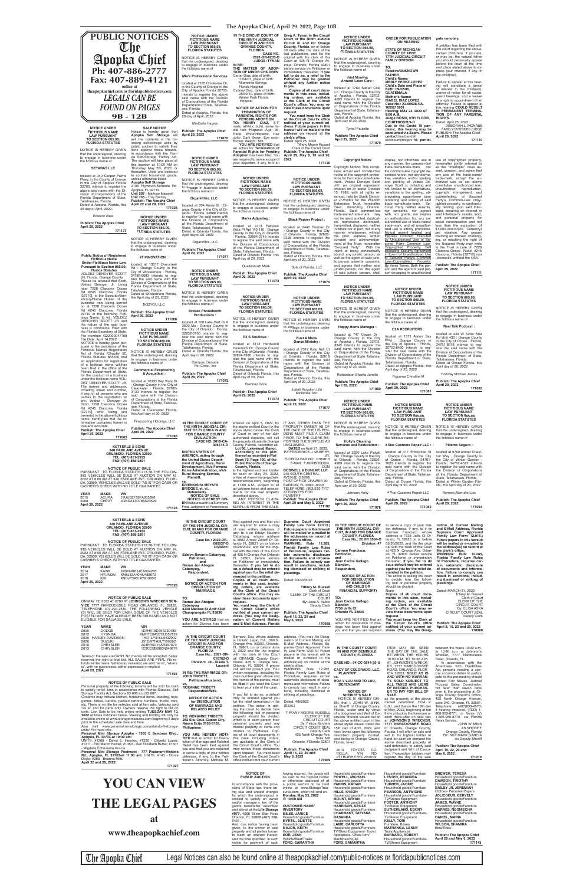**The Apopka Chief, April 29. 2022, Page 10B**

| <b>PUBLIC NOTICES</b>                                                                                                                                                                                                                                                                                                                   |                                                             | <b>NOTICE UNDER</b><br><b>FICTITIOUS NAME</b><br><b>LAW PURSUANT</b><br><b>TO SECTION 865.09,</b><br><b>FLORIDA STATUTES</b>                                    | IN THE CIRCUIT COURT OF<br>THE NINTH JUDICIAL<br><b>CIRCUIT IN AND FOR</b><br><b>ORANGE COUNTY,</b><br><b>FLORIDA</b>                                                     | Grea A. Tynan in the Circuit<br>Court of the Ninth Judicial<br>Circuit in and for Orange<br>County, Florida, on or before<br>30 days after the date of the         | <b>NOTICE UNDER</b><br><b>FICTITIOUS NAME</b><br><b>LAW PURSUANT</b><br><b>TO SECTION 865.09,</b>                                                                 | <b>ORDER FOR PUBLICATION</b><br><b>ON HEARING</b><br><b>STATE OF MICHIGAN</b>                                                                                                                    | pate remotely.<br>A petition has been filed with<br>this court regarding the above-                                                                          |
|-----------------------------------------------------------------------------------------------------------------------------------------------------------------------------------------------------------------------------------------------------------------------------------------------------------------------------------------|-------------------------------------------------------------|-----------------------------------------------------------------------------------------------------------------------------------------------------------------|---------------------------------------------------------------------------------------------------------------------------------------------------------------------------|--------------------------------------------------------------------------------------------------------------------------------------------------------------------|-------------------------------------------------------------------------------------------------------------------------------------------------------------------|--------------------------------------------------------------------------------------------------------------------------------------------------------------------------------------------------|--------------------------------------------------------------------------------------------------------------------------------------------------------------|
| The<br>Apopka Chief                                                                                                                                                                                                                                                                                                                     |                                                             | NOTICE IS HEREBY GIVEN<br>that the undersigned, desiring<br>to engage in business under                                                                         | <b>CASE NO.</b><br>2021-DR-8205-O<br><b>JUDGE: TYNAN</b><br>IN RE:                                                                                                        | last publication, and file the<br>original with the clerk of this<br>Court at 425 N. Orange Av-<br>enue, Orlando, Florida 32801                                    | <b>FLORIDA STATUTES</b><br>NOTICE IS HEREBY GIVEN<br>that the undersigned, desiring<br>to engage in business under                                                | <b>COUNTY OF KENT</b><br><b>17TH JUDICIAL CIRCUIT</b><br><b>FAMILY DIVISION</b>                                                                                                                  | named child(ren). If you are,<br>or may be, the natural father<br>you should personally appear<br>before the court at the time                               |
| Ph: 407-886-2777<br>Fax: 407-889-4121                                                                                                                                                                                                                                                                                                   |                                                             | the fictitious name of<br><b>Mia's Professional Services</b><br>located at 2185 Chickadee Dr.                                                                   | THE MATTER OF ADOP-<br><b>TION OF MINOR CHILDREN</b><br>Carter Diaz, date of birth:<br>11/04/07, place of birth:<br><b>Altamonte Springs</b>                              | before service on Petitioner or<br>immediately thereafter, If you<br>fail to do so, a relief to the<br>Petitioner may be granted<br>without any further notice     | the fictitious name of<br><b>Just Mowing</b><br><b>Around Lawn Care:</b>                                                                                          | TO:<br><b>Putative/UNKNOWN</b><br><b>FATHER</b><br><b>Child's Name:</b><br><b>MERLY PEREZ-LOPEZ</b>                                                                                              | and place stated above to ex-<br>press your interest, if any, in<br>the child(ren).<br>Failure to appear at this hear-                                       |
| online at<br>theapopkachief.com or floridapublicnotices.com<br><b>LEGALS CAN BE</b>                                                                                                                                                                                                                                                     |                                                             | in the County of Orange in the<br>City of Apopka Florida 32703,<br>intends to register the above<br>said name with the Division                                 | Florida Hospital<br>Cydney Diaz, date of birth:<br>05/09/10, place of birth:<br>Winter Park Florida                                                                       | to you.<br>Copies of all court docu-<br>ments in this case, includ-<br>ing orders, are available                                                                   | located at 1764 Stefan Cole<br>Ln: Orange County in the City<br>of Apopka : Florida, 32703-<br>4695 intends to register the                                       | Child's Date and Place of<br>Birth: 09/22/06,<br><b>GUATEMALA</b><br><b>Mother's Name:</b>                                                                                                       | ing will constitute a denial<br>of interest in the child(ren),<br>waiver of notice for all subse-<br>quent hearings, and a waiver                            |
| <b>FOUND ON PAGES</b>                                                                                                                                                                                                                                                                                                                   |                                                             | of Corporations of the Florida<br>Department of State, Tallahas-<br>see, Florida.<br>Dated at Apopka, Florida, this                                             | Hospital<br><b>NOTICE OF ACTION FOR</b><br><b>TERMINATION OF</b><br><b>PARENTAL RIGHTS FOR</b>                                                                            | at the Clerk of the Circuit<br>Court's office. You may re-<br>view these documents upon<br>request.                                                                | said name with the Division<br>of Corporations of the Florida<br>Department of State, Tallahas-<br>see, Florida.                                                  | <b>ISABEL DIAZ LOPEZ</b><br>Case No.: 22-50628-NA-<br>1055210901<br><b>Hearing: MAY 24, 2022 AT</b><br>9:00 A.M.                                                                                 | of a right to appointment of an<br>attorney. Failure to appear at<br>this hearing COULD RESULT<br>IN PERMANENT TERMINA-<br>TION OF ANY PARENTAL              |
| <b>9B-12B</b><br><b>SALE NOTICE</b><br><b>NOTICE UNDER</b>                                                                                                                                                                                                                                                                              |                                                             | 20 day of April, 2022.<br>MiaCarla Hagins<br><b>Publish: The Apopka Chief</b>                                                                                   | <b>PENDING ADOPTION</b><br>TO: HENRY DIAZ, 6'1'<br>male, athletic build, some fa-<br>cial hair, Hispanic. Age: 36;                                                        | You must keep the Clerk<br>of the Circuit Court's office<br>notified of your current ad-<br>dress. Future papers in this<br>lawsuit will be mailed to the          | Dated at Apopka Florida, this<br>April day of 20, 2022<br><b>Tyrrell Paulette</b>                                                                                 | Judge ROSSI, 9TH FLOOR.<br><b>COURTROOM 9-D</b><br>Due to the Covid 19 pan-<br>demic, this hearing may be                                                                                        | RIGHTS.<br>Dated: April 25, 2022<br>DEBORAH L. MCNABB<br>FAMILY DIVISION JUDGE                                                                               |
| Notice is hereby given that<br><b>FICTITIOUS NAME</b><br><b>LAW PURSUANT</b><br>Apopka Self Storage will<br>sell the contents of the fol-<br><b>TO SECTION 865.09.</b><br>lowing self-storage units by<br><b>FLORIDA STATUTES</b><br>public auction to satisfy their                                                                    |                                                             | April 29, 2022<br>171070                                                                                                                                        | Race: White\Hispanic; Hair<br>color: Dark Brown; Eye color:<br>Brown; Weight: 185.<br>YOU ARE NOTIFIED that                                                               | address on record at the<br>clerk's office.<br>Dated: April 25, 2022.<br><b>Tiffany Moore Russell</b>                                                              | <b>Publish: The Apopka Chief</b><br>April 29, 2022<br>171079                                                                                                      | conducted via Zoom. Please<br>contact lisa.baird@<br>kentcountymi.gov to partici-                                                                                                                | PUBLISH: The Apopka Chief<br>April 29, 2022<br>171110                                                                                                        |
| liens against these tenants,<br>NOTICE IS HEREBY GIVEN<br>in accordance with the Flori-<br>that the undersigned, desiring<br>da Self-Storage Facility Act.<br>to engage in business under<br>The auction will take place at<br>the fictitious name of                                                                                   |                                                             | <b>NOTICE UNDER</b><br><b>FICTITIOUS NAME</b>                                                                                                                   | an action for Termination of<br><b>Parental Rights for Pending</b><br>Adoption has been filed. You<br>are required to serve a copy of<br>your objection, if any, to it on | Clerk of the Circuit Court<br><b>Publish: The Apopka Chief</b><br>April 29, May 6, 13 and 20,<br>2022<br>171120                                                    | <b>Copyright Notice</b>                                                                                                                                           | display, nor otherwise use in<br>any manner, the common-law                                                                                                                                      | use of copyrighted property,<br>hereinafter jointly referred to                                                                                              |
| this location at 10:00 AM on<br>Thursday, May 5th, 2022, or<br><b>SETARAS LLC</b><br>thereafter. Units are believed<br>to contain household goods,<br>located at 340 Cooper Palms<br>unless otherwise listed.<br>Pkwy, in the County of Orange                                                                                          |                                                             | <b>LAW PURSUANT</b><br><b>TO SECTION 865.09,</b><br><b>FLORIDA STATUTES</b>                                                                                     | <b>NOTICE UNDER</b>                                                                                                                                                       | <b>NOTICE UNDER</b>                                                                                                                                                | Copyright Notice: This consti-<br>tutes actual and constructive<br>notice of the copyright protec-<br>tions for the trade-name/trade-                             | trade-name/trade-mark. nor<br>the common-law copyright de-<br>scribed herein, nor any deriva-<br>tive, variation, and/or spelling                                                                | as the "Interloper" does as-<br>sent, consent, and agree that<br>any use of the trade-name/<br>trade-mark, except the au-                                    |
| <b>Apopka Self Storage</b><br>in the City of Apopka Florida<br>2106 Plymouth-Sorrento Rd.<br>32703, intends to register the<br>Apopka, FL 32712<br>above said name with the Di-<br>Unit 507 - Mathew Maxwell<br>vision of Corporations of the                                                                                           |                                                             | NOTICE IS HEREBY GIVEN<br>that the undersigned, desiring<br>to engage in business under<br>the fictitious name of                                               | <b>FICTITIOUS NAME</b><br><b>LAW PURSUANT</b><br><b>TO SECTION 865.09.</b><br><b>FLORIDA STATUTES</b>                                                                     | <b>FICTITIOUS NAME</b><br><b>LAW PURSUANT</b><br><b>TO SECTION 865.09.</b><br><b>FLORIDA STATUTES</b>                                                              | mark, Voldez Denoyer Scott<br>Jr©, an original expression<br>created on or about October<br>15, 1988, with all rights re-                                         | and printing of Voldez De-<br>nover Scott Jr, including and<br>not limited to all derivatives,<br>variations in the spelling, ab-                                                                | thorized use as set above<br>constitutes unauthorized use.<br>unauthorized reproduction,<br>copyright infringement, and                                      |
| Unit 735 - Troy Rainey<br>Florida Department of State,<br><b>Publish: The Apopka Chief</b><br>Tallahassee, Florida.<br>April 22 and 29, 2022<br>Dated at Apopka, Florida, this<br>26 day of April, 2022.                                                                                                                                | 171026                                                      | OrganiKhix, LLC:<br>located at 204 Annie St : Or-<br>ange County in the City of Or-                                                                             | NOTICE IS HEREBY GIVEN<br>that the undersigned, desiring<br>to engage in business under<br>the fictitious name of                                                         | NOTICE IS HEREBY GIVEN<br>that the undersigned, desiring<br>to engage in business under                                                                            | served, held by Scott; Denoy-<br>er Jr-Voldez for the Wisdom<br>Enterprise Trust, hereinafter<br>Trust, domiciling Orlando,<br>Florida. Said common-law           | breviating, upper/lower case<br>rendering and writing of said<br>trade-name/trade-mark. Se-<br>cured Party neither assents,<br>nor consents, nor agrees                                          | counterfeiting, of Secured<br>Party's Common-Law copy-<br>righted property, is contractu-<br>ally binding upon said Inter-<br>loper, securing an interest in |
| <b>Edward West</b><br><b>NOTICE UNDER</b><br><b>FICTITIOUS NAME</b><br><b>Publish: The Apopka Chief</b><br><b>LAW PURSUANT</b><br>April 29, 2022<br><b>TO SECTION 865.09.</b>                                                                                                                                                           |                                                             | lando: Florida, 32806 intends<br>to register the said name with<br>the Division of Corporations<br>of the Florida Department of<br>State, Tallahassee, Florida. | <b>Marks Adjusting:</b><br>located at 4113 Fairview                                                                                                                       | the fictitious name of<br><b>Black Pepper Project:</b><br>located at 2440 Formax Dr                                                                                | trade-name/trade-mark may<br>not be used, printed, duplicat-<br>ed, reproduced, distributed,<br>transmitted, displayed, neither                                   | with, nor grants, nor implies<br>an authorization for, any un-<br>authorized use of trade-name/<br>trade-mark, and all unauthor-                                                                 | said Interloper's assets, land,<br>and personal property for<br>equal consideration and not<br>less than the equivalent of                                   |
| 171127<br><b>FLORIDA STATUTES</b><br>NOTICE IS HEREBY GIVEN<br>that the undersigned, desiring                                                                                                                                                                                                                                           |                                                             | Dated at Orlando Florida, this<br>April day of 20, 2022<br>OrganiKhix, LLC                                                                                      | Vista Pt Apt 110 110 : Orange<br>County in the City of Orlando<br>: Florida, 32804-2745 intends<br>to register the said name with<br>the Division of Corporations         | Orange County in the City<br>of Orlando: Florida, 32828-<br>9328 intends to register the<br>said name with the Division                                            | in whole nor in part, nor in any<br>manner whatsoever, without<br>the prior, express, written<br>consent and acknowledge-<br>ment of the Trust, hereinafter       | ized use is strictly prohibited.<br>Mutual assent Implied and<br>Express Contract Executed<br>by Unauthorized Use of Se-<br>cured Party Common Law-                                              | \$1,000,000.00(US Currency)<br>per violation. Any person<br>claiming an interest, challeng-<br>ing, or rebutting the right of<br>the Secured Party may write |
| to engage in business under<br>the fictitious name of<br><b>Public Notice of Registered</b><br>4T INNOVATION:<br><b>Fictitious Name</b>                                                                                                                                                                                                 |                                                             | <b>Publish: The Apopka Chief</b><br>April 29, 2022<br>171071                                                                                                    | of the Florida Department of<br>State, Tallahassee, Florida.<br>Dated at Orlando Florida, this<br>April day of 20, 2022                                                   | of Corporations of the Florida<br>Department of State, Tallahas-<br>see, Florida.<br>Dated at Orlando Florida, this<br>April day of 20, 2022                       | "Secured Party". With the<br>intent of being contractually<br>bound, any juristic person, as<br>well as the agent of said juris-                                  | Copyrighted Property; Self<br>executing Security Agreement<br>in Event of Unauthorized Use<br>of Secured Party's Common                                                                          | to the Trust in care of: 7228<br>Clarcona-Ocoee Road #245<br>Clarcona, Florida [32710] non<br>-domestic, without the USA.                                    |
| <b>Under Fictitious Name Law</b><br>located at 13317 Overstreet<br>Pursuant to Section 865.09,<br>Rd : Orange County in the<br><b>Florida Statutes</b><br>City of Windermere: Florida,<br>VOLDEZ DENOYER SCOTT<br>34786-6683 intends to reg-                                                                                            |                                                             | <b>NOTICE UNDER</b><br><b>FICTITIOUS NAME</b>                                                                                                                   | Qualkinbush Mark<br><b>Publish: The Apopka Chief</b>                                                                                                                      | Sola of Florida, LLC<br>Publish: The Apopka Chief                                                                                                                  | tic person, assents, consents,<br>and agrees that neither said<br>juristic person, nor the agent<br>of said juristic person, shall                                | Law=Copyrighted Property:<br>By these Terms, Both the per-<br>son and the agent of said per-<br>son engaging in unauthorized                                                                     | <b>Publish: The Apopka Chief</b><br>April 29, 2022<br>171111                                                                                                 |
| JR, Florida, Orange County<br>ister the said name with the<br>Please be advised that Scott,<br>Division of Corporations of the<br>Voldez Denoyer Jr. Living<br>Florida Department of State,<br>near 7228 Clarcona Ocoee<br>Tallahassee, Florida.<br>Rd #245 Clarcona, Florida                                                           |                                                             | <b>LAW PURSUANT</b><br><b>TO SECTION 865.09,</b><br><b>FLORIDA STATUTES</b><br>NOTICE IS HEREBY GIVEN                                                           | April 29, 2022<br>171073                                                                                                                                                  | April 29, 2022<br>171076                                                                                                                                           | <b>NOTICE UNDER</b><br><b>FICTITIOUS NAME</b>                                                                                                                     | <b>NOTICE UNDER</b><br><b>FICTITIOUS NAME</b>                                                                                                                                                    | <b>NOTICE UNDER</b><br><b>FICTITIOUS NAME</b>                                                                                                                |
| Dated at Windermere Florida,<br>[32710], is the Executor/Ben-<br>this April day of 20, 2022<br>eficiary/Name Holder of the<br>business now being carried<br>NG2YOU LLC<br>on at 7228 Clarcona Ocoee                                                                                                                                     |                                                             | that the undersigned, desiring<br>to engage in business under<br>the fictitious name of                                                                         | <b>NOTICE UNDER</b><br><b>FICTITIOUS NAME</b><br><b>LAW PURSUANT</b><br>TO SECTION 865.09.                                                                                | <b>NOTICE UNDER</b><br><b>FICTITIOUS NAME</b><br><b>LAW PURSUANT</b><br><b>TO SECTION 865.09.</b>                                                                  | <b>LAW PURSUANT</b><br><b>TO SECTION 865.09,</b><br><b>FLORIDA STATUTES</b><br>NOTICE IS HEREBY GIVEN                                                             | <b>LAW PURSUANT</b><br><b>TO SECTION 865.09</b><br><b>FLORIDA STATUTES</b>                                                                                                                       | <b>LAW PURSUANT</b><br><b>TO SECTION 865.09.</b><br><b>FLORIDA STATUTES</b><br>NOTICE IS HEREBY GIVEN                                                        |
| Rd #245 Clarcona, Florida<br>Publish: The Apopka Chief<br>32710 in the following Ficti-<br>April 29, 2022<br>tious Name, to wit: VOLDEZ<br>DENOYER SCOTT JR and<br>the nature of the said busi-                                                                                                                                         | 171086                                                      | <b>Broken Phonebooth</b><br><b>Productions:</b><br>located at 100 Lake Hart Dr #                                                                                | <b>FLORIDA STATUTES</b><br>NOTICE IS HEREBY GIVEN<br>that the undersigned, desiring                                                                                       | <b>FLORIDA STATUTES</b><br>NOTICE IS HEREBY GIVEN<br>that the undersigned, desiring                                                                                | that the undersigned, desiring<br>to engage in business under<br>the fictitious name of                                                                           | NOTICE IS HEREBY GIVEN<br>that the undersigned, desiring<br>to engage in business under<br>the fictitious name of                                                                                | that the undersigned, desiring<br>to engage in business under<br>the fictitious name of                                                                      |
| ness is commerce. Filed with<br><b>NOTICE UNDER</b><br>the Florida Secretary of State.<br><b>FICTITIOUS NAME</b><br>File number: G22000047708<br><b>LAW PURSUANT</b><br>File Date: April 14,2022<br><b>TO SECTION 865.09.</b>                                                                                                           |                                                             | 3500 Mc: Orange County in<br>the City of Orlando: Florida,<br>32832-0100 intends to req-<br>ister the said name with the<br>Division of Corporations of the     | to engage in business under<br>the fictitious name of<br>RJ'S Boutique :                                                                                                  | to engage in business under<br>the fictitious name of<br><b>Bust A Move</b><br>Dance Ministry:                                                                     | Happy Home Manager:<br>located at 747 Cavan Dr :<br>Orange County in the City<br>of Apopka : Florida, 32703-                                                      | <b>C2A RECRUITERS:</b><br>located at 1371 Alston Bay<br>Blvd : Orange County in                                                                                                                  | <b>Real Talk Podcast:</b><br>located at 449 W Silver Star<br>Rd Unit 430 : Orange County<br>in the City of Ocoee : Florida,                                  |
| NOTICE is hereby given pur-<br><b>FLORIDA STATUTES</b><br>suant to the provisions of the<br>Fictitious Names Registration<br>NOTICE IS HEREBY GIVEN<br>Act of Florida (Chapter 50,<br>that the undersigned, desiring<br>Florida Statutes 865.09) that                                                                                   |                                                             | Florida Department of State,<br>Tallahassee, Florida.<br>Dated at Orlando Florida, this<br>April day of 20, 2022                                                | located at 3172 Hardwood<br>Hammock Dr: Orange County<br>in the City of Orlando: Florida,<br>32824-7380 intends to reg-                                                   | located at 7312 Katy Noll Ct<br>: Orange County in the City<br>of Orlando: Florida, 32818                                                                          | 8345 intends to register the<br>said name with the Division<br>of Corporations of the Florida<br>Department of State, Tallahas-                                   | the City of Apopka: Florida,<br>32703-8460 intends to reg-<br>ister the said name with the<br>Division of Corporations of the                                                                    | 34761-8018 intends to req-<br>ister the said name with the<br>Division of Corporations of the<br>Florida Department of State,                                |
| to engage in business under<br>an application for registration<br>the fictitious name of<br>of a fictitious name will/has<br>been filed in the office of the<br><b>Commercial Fireproofing</b><br>Florida Department of State,<br>& Acoustical:                                                                                         |                                                             | Campus Crusade<br>For Christ, Inc.<br><b>Publish: The Apopka Chief</b>                                                                                          | ister the said name with the<br>Division of Corporations of the<br>Florida Department of State,<br>Tallahassee, Florida.<br>Dated at Orlando Florida, this                | intends to register the said<br>name with the Division of<br>Corporations of the Florida<br>Department of State, Tallahas-                                         | see, Florida.<br>Dated at Apopka Florida, this<br>April day of 20, 2022                                                                                           | Florida Department of State,<br>Tallahassee, Florida.<br>Dated at Apopka Florida, this<br>April day of 20, 2022                                                                                  | Tallahassee, Florida.<br>Dated at Ocoee Florida, this<br>April day of 20, 2022<br><b>Holliday Michael James</b>                                              |
| for the conduct of a business<br>under the fictitious name VOL-<br>located at 16333 Bay Vista Dr<br>DEZ DENOYER SCOTT JR.<br>Orange County in the City of<br>The names and addresses,<br>Clearwater: Florida, 33760-<br>including street and number,                                                                                    |                                                             | April 29, 2022<br>171072                                                                                                                                        | April day of 20, 2022<br><b>Ramirez Doris</b>                                                                                                                             | see, Florida.<br>Dated at Orlando Florida, this<br>April day of 20, 2022<br>Judah Kingdom Life                                                                     | Richardson Sharita Jonelle<br><b>Publish: The Apopka Chief</b><br>April 29, 2022<br>171080                                                                        | Figueroa Christine M<br>Publish: The Apopka Chief<br>April 29, 2022                                                                                                                              | <b>Publish: The Apopka Chief</b><br>April 29, 2022<br>171082                                                                                                 |
| 3130 intends to register the<br>if any, of all persons who are<br>said name with the Division<br>parties to the registration is/<br>of Corporations of the Florida<br>are: Voldez – Denover Jr;<br>Department of State, Tallahas-<br>Scott, 7228 Clarcona Ocoee<br>see, Florida.                                                        |                                                             |                                                                                                                                                                 | Publish: The Apopka Chief<br>April 29, 2022<br>171074                                                                                                                     | Ministries, Inc.<br>Publish: The Apopka Chief<br>April 29, 2022                                                                                                    | <b>NOTICE UNDER</b><br><b>FICTITIOUS NAME</b>                                                                                                                     | 171081<br><b>NOTICE UNDER</b>                                                                                                                                                                    | <b>NOTICE UNDER</b>                                                                                                                                          |
| Rd #245 Clarcona, Florida<br>Dated at Clearwater Florida,<br>[32710], who, being (an)<br>this April day of 20, 2022<br>owner(s) in the above fictitious<br>name, certif(y)ies that the in-<br>Fireproofing Holdings, LLC<br>formation contained herein is                                                                               |                                                             | IN THE CIRCUIT COURT OF                                                                                                                                         | entered on April 5, 2022, by                                                                                                                                              | 171077<br>IF ANY, OTHER THAN THE                                                                                                                                   | <b>LAW PURSUANT</b><br><b>TO SECTION 865.09.</b><br><b>FLORIDA STATUTES</b><br>NOTICE IS HEREBY GIVEN                                                             | <b>FICTITIOUS NAME</b><br><b>LAW PURSUANT</b><br><b>TO SECTION 865.09.</b><br><b>FLORIDA STATUTES</b>                                                                                            | <b>FICTITIOUS NAME</b><br><b>LAW PURSUANT</b><br><b>TO SECTION 865.09.</b><br><b>FLORIDA STATUTES</b>                                                        |
| true and accurate.<br><b>Publish: The Apopka Chief</b><br><b>Publish: The Apopka Chief</b><br>April 29, 2022<br>April 29, 2022<br>171069                                                                                                                                                                                                | 171085                                                      | THE NINTH JUDICIAL CIR-<br><b>CUIT OF FLORIDA IN AND</b><br><b>FOR ORANGE COUNTY</b><br><b>CIVIL ACTION</b>                                                     | the above entitled Court in the<br>above styled cause, the Clerk<br>of Court or any of her duly<br>authorized deputies, will sell                                         | PROPERTY OWNER AS OF<br>THE DATE OF THE LIS PEN-<br>DENS MUST FILE A CLAIM<br>PRIOR TO THE CLERK RE-                                                               | that the undersigned, desiring<br>to engage in business under<br>the fictitious name of                                                                           | NOTICE IS HEREBY GIVEN<br>that the undersigned, desiring<br>to engage in business under<br>the fictitious name of                                                                                | NOTICE IS HEREBY GIVEN<br>that the undersigned, desiring<br>to engage in business under<br>the fictitious name of                                            |
| <b>KETTERLE &amp; SONS</b><br><b>340 FAIRLANE AVENUE</b><br>ORLANDO, FLORIDA 32809                                                                                                                                                                                                                                                      |                                                             | <b>CASE NO. 2019-CA-</b><br>006415-0<br><b>UNITED STATES OF</b><br><b>AMERICA, acting through</b>                                                               | the property situated in Orange<br>County, Florida, described as:<br>Lot 36, Lakewood Manor,<br>according to the plat<br>thereof as recorded in Plat                      | PORTING THE SURPLUS AS<br>UNCLAIMED.<br>DATED on April 21, 2022.<br>BY FREDERICK J. MURPHY,<br>JR.                                                                 | <b>Holly's Cleaning</b><br>Services and Restoration:<br>located at 2250 Lake Pickett<br>Rd: Orange County in the City                                             | 4 Star Customs Repair LLC :<br>located at 417 Enterprise St<br>Orange County in the City                                                                                                         | Pideme Seguro:<br>located at 9760 Amber Chest-<br>nut Way: Orange County in                                                                                  |
| TEL: (407) 851-3953<br>FAX: (407) 888-2891<br><b>NOTICE OF PUBLIC SALE</b><br>PURSUANT TO FLORIDA STATUTE-713.78-THE FOLLOW-                                                                                                                                                                                                            |                                                             | the United States Depart-<br>ment of Agriculture, Rural<br>Development, f/k/a Farmers<br>Home Administration, a/k/a                                             | Book 72, Page 100, of the<br><b>Public Records of Orange</b><br>County, Florida.<br>to the highest and best bidder                                                        | FLORIDA BAR NO.: 0709913<br>E-MAIL: FJM@BOSDUN.<br><b>COM</b><br><b>BOSWELL &amp; DUNLAP, LLP</b>                                                                  | of Orlando: Florida, 32826-<br>4989 intends to register the<br>said name with the Division<br>of Corporations of the Florida                                      | of Ocoee : Florida, 34761-<br>3020 intends to register the<br>said name with the Division<br>of Corporations of the Florida                                                                      | the City of Winter Garden :<br>Florida, 34787-4572 intends<br>to register the said name with<br>the Division of Corporations                                 |
| ING VEHICLES WILL BE SOLD AT AUCTION ON MAY 18,<br>2022 AT 8:00 AM AT 340 FAIRLANE AVE. ORLANDO, FLORI-<br>DA, 32809. VEHICLES WILL BE SOLD "AS IS" FOR CASH OR<br>CASHIER'S CHECK WITH NO TITLE GUARANTEE.                                                                                                                             |                                                             | <b>Rural Housing Service,</b><br>Plaintiff,<br>VS.<br><b>KRIENKISHA MEYATA</b><br>BRIDGES, et. al.,                                                             | for cash on May 24, 2022,<br>online at www.myorangeclerk.<br>realforeclose.com, beginning<br>at 11:00 A.M., subject to all<br>ad valorem taxes and assess-                | <b>245 SOUTH CENTRAL</b><br>AVENUE (33830)<br>POST OFFICE DRAWER 30<br>BARTOW, FL 33831-0030<br>TELEPHONE: (863)533-7117                                           | Department of State, Tallahas-<br>see, Florida.<br>Dated at Orlando Florida, this<br>April day of 20, 2022                                                        | Department of State, Tallahas-<br>see, Florida.<br>Dated at Ocoee Florida, this<br>April day of 20, 2022                                                                                         | of the Florida Department of<br>State, Tallahassee, Florida.<br>Dated at Winter Garden Flor-<br>ida, this April day of 20, 2022                              |
| <b>YEAR</b><br><b>MAKE</b><br><b>VIN</b><br><b>ACURA</b><br>19UUB2F59FA005390<br>2015<br><b>CHEVY</b><br>2008<br>3GNDA13D78S523529<br>April 29, 2022                                                                                                                                                                                    |                                                             | Defendants.<br><b>NOTICE OF SALE</b><br><b>NOTICE IS HEREBY GIV-</b><br><b>EN</b> that pursuant to a Summary                                                    | ments for the real property<br>described above.<br>ANY PERSON CLAIM-<br>ING AN INTEREST IN THE                                                                            | <b>ATTORNEYS FOR</b><br><b>PLAINTIFF</b><br><b>Publish: The Apopka Chief</b><br>April 29 and May 6, 2022                                                           | Johnson Holly<br><b>Publish: The Apopka Chief</b><br>April 29, 2022                                                                                               | 4 Star Customs Repair LLC<br><b>Publish: The Apopka Chief</b><br>April 29, 2022                                                                                                                  | Romero Marruffo Luis<br><b>Publish: The Apopka Chief</b><br>April 29, 2022                                                                                   |
| <b>KETTERLE &amp; SONS</b>                                                                                                                                                                                                                                                                                                              | 171124                                                      | Final Judgment of Foreclosure<br>IN THE CIRCUIT COURT                                                                                                           | SURPLUS FROM THE SALE.<br>filed against you and that you                                                                                                                  | 171102<br>Supreme Court Approved                                                                                                                                   | 171078                                                                                                                                                            | 171083                                                                                                                                                                                           | 171084                                                                                                                                                       |
| <b>340 FAIRLANE AVENUE</b><br>ORLANDO, FLORIDA 32809<br>TEL: (407) 851-3953<br>FAX: (407) 888-2891                                                                                                                                                                                                                                      |                                                             | OF THE 9TH JUDICIAL CIR-<br><b>CUIT. IN AND FOR ORANGE</b><br><b>COUNTY, FLORIDA</b>                                                                            | are required to serve a copy<br>of your written defenses, if<br>any, to it on Edelyn Navarro<br>Cabanyog, whose address                                                   | Family Law Form 12.915.)<br>Future papers in this lawsuit<br>will be mailed or e-mailed to<br>the addresses on record at                                           | THE NINTH JUDICIAL CIR-<br><b>COUNTY, FLORIDA</b>                                                                                                                 | IN THE CIRCUIT COURT OF to serve a copy of your writ-<br>ten defenses, if any, to it on<br>CUIT, IN AND FOR ORANGE Carmen Francisco whose Supreme Court Approved<br>address is 7738 Jaffa Ct Or- | nation of Current Mailing<br>and E-Mail Address, Florida<br>Family Law Form 12.915.                                                                          |
| <b>NOTICE OF PUBLIC SALE</b><br>PURSUANT TO FLORIDA STATUTE-713.78-THE FOLLOW-<br>ING VEHICLES WILL BE SOLD AT AUCTION ON MAY 24,<br>2022 AT 8:00 AM AT 340 FAIRLANE AVE. ORLANDO. FLORI-                                                                                                                                               |                                                             | Case No.: 2022-DR-<br>000537-0<br>Division:<br>Edelyn Navarro Cabanyog,                                                                                         | is 5602 Arnold Zlotoff Dr Or-<br>lando FL 32821 on or before<br>05/26/2022, and file the origi-<br>nal with the clerk of this Court<br>at 425 N Orange Ave Orlando        | the clerk's office.<br>WARNING: Rule 12.285,<br>Florida Family Law Rules<br>of Procedure, requires cer-<br>tain automatic disclosure                               | Case No.: 22 DR 3564-O<br>Division: 47<br>Carmen Francisco,<br>Petitioner,                                                                                        | lando, FL 32835 on or before<br>05/26/2022, and file the origi-<br>nal with the clerk of this Court<br>at 425 N. Orange Ave, Orlan-<br>do, FL 32801 before service                               | Future papers in this lawsuit<br>will be mailed or e-mailed to<br>the address(es) on record at<br>the clerk's office.<br>WARNING: Rule 12.285,               |
| DA, 32809. VEHICLES WILL BE SOLD "AS IS" FOR CASH OR<br>CASHIER'S CHECK WITH NO TITLE GUARANTEE.<br><b>MAKE</b><br>YEAR<br>VIN<br><b>KAWK</b><br>JKBVNRK14EA004285<br>2014                                                                                                                                                              |                                                             | Petitioner,<br>and<br>Romar Jun Abagon<br>Cabanyog,                                                                                                             | FL 32801, before service<br>on Petitioner or immediately<br>thereafter. If you fail to do<br>so, a default may be entered                                                 | of documents and informa-<br>tion. Failure to comply can<br>result in sanctions, includ-<br>ing dismissal or striking of                                           | and<br>Juan Carlos Gallego<br>Blandon,<br>Respondent,                                                                                                             | on Petitioner or immediately<br>thereafter. If you fail to do<br>so, a default may be entered<br>against you for the relief de-                                                                  | Florida Family Law Rules<br>of Procedure, requires cer-<br>tain automatic disclosure<br>of documents and informa-                                            |
| <b>HYUNDAI</b><br>2017<br>KM8J33A40HU488672<br>2019<br>KIA<br>KNDJP3A51K7919950<br>April 29, 2022                                                                                                                                                                                                                                       | 171126                                                      | Respondent,<br><b>AMENDED</b><br><b>NOTICE OF ACTION FOR</b><br><b>DISSOLUTION OF</b>                                                                           | against you for the relief de-<br>manded in the petition.<br>Copies of all court docu- Dated: 03/30/2022<br>ments in this case, includ-<br>ing orders, are available      | pleadings.<br><b>Tiffany M. Russell</b>                                                                                                                            | <b>NOTICE OF ACTION</b><br><b>FOR DISSOLUTION</b><br>OF MARRIAGE<br>(NO CHILD OR                                                                                  | manded in the petition.<br>The action is asking the court<br>to decide how the follow-<br>ing real or personal property<br>should be divided:                                                    | tion. Failure to comply can<br>result in sanctions, includ-<br>ing dismissal or striking of<br>pleadings.                                                    |
| <b>NOTICE OF PUBLIC SALE</b><br>ON MAY 12, 2022 AT 0700 AT JOHNSON'S WRECKER SER-                                                                                                                                                                                                                                                       |                                                             | <b>MARRIAGE</b><br>TO:<br>Romar Jun Abagon                                                                                                                      | at the Clerk of the Circuit<br>Court's office. You may re-<br>view these documents upon<br>request.                                                                       | Clerk of Court<br><b>CLERK OF THE CIRCUIT</b><br><b>COURT</b><br>By: Jose A. Vellon                                                                                | <b>FINANCIAL SUPPORT)</b><br>TO:<br>Juan Carlos Gallego<br>Blandon                                                                                                | None<br>Copies of all court docu-<br>ments in this case, includ-<br>ing orders, are available<br>at the Clerk of the Circuit                                                                     | Dated: MARCH 31, 2022<br>Tiffany M. Russell<br>Clerk of Court<br><b>CLERK OF THE</b><br><b>CIRCUIT COURT</b>                                                 |
| VICE 7777 NARCOOSSEE ROAD ORLANDO, FL 32822,<br>TELEPHONE 407-293-2540. THE FOLLOWING VEHICLE<br>(S) WILL BE SOLD FOR CASH. SOME OF THE VEHICLES<br>POSTED MAY HAVE ALREADY BEEN RELEASED AND NOT<br>ELIGIBLE FOR SALVAGE SALE.                                                                                                         |                                                             | Cabanyog<br>8220 Matisee St Apt# 5208<br>Championgate FL 33896<br>YOU ARE NOTIFIED that an                                                                      | You must keep the Clerk of<br>the Circuit Court's office<br>notified of your current ad-<br>dress. (You may file Desig-<br>nation of Current Mailing                      | Deputy Clerk<br><b>Publish: The Apopka Chief</b><br>April 15, 22, 29 and<br>May 6, 2022                                                                            | 7738 Jaffa Ct<br>Orlando FL 32835<br>YOU ARE NOTIFIED that an                                                                                                     | Court's office. You may re-<br>view these documents upon<br>request.<br>You must keep the Clerk of                                                                                               | By: ELISA ASKA<br>CIRCUIT COURT SEAL<br><b>Deputy Clerk</b>                                                                                                  |
| <b>YEAR</b><br><b>MAKE</b><br>VIN<br><b>DODGE</b><br>2005<br><b>HYUNDAI</b><br>2012<br>2020 HARLEY-DAVIDSON                                                                                                                                                                                                                             | 1D7HA18D35S239489<br>KMHTC6AD7CU052159<br>1HD1LP316LB432902 | action for Divorce has been<br>IN THE CIRCUIT COURT                                                                                                             | and E-Mail Address, Florida<br>Bernard, Esg. whose address                                                                                                                | 170998<br>address. (You may file Desig-                                                                                                                            | action for dissolution of mar-<br>riage has been filed against<br>you and that you are required                                                                   | the Circuit Court's office<br>notified of your current ad-<br>dress. (You may file Desig-                                                                                                        | <b>Publish: The Apopka Chief</b><br>April 8, 15, 22 and 29, 2022<br>170980                                                                                   |
| 2020<br><b>SUZUKI</b><br>2010<br><b>CHRYSLER</b><br>2013<br><b>CHRYSLER</b>                                                                                                                                                                                                                                                             | JS1GN7FA2L7100082<br>2A4RR5D15AR357673<br>1C3CCBBB8DN549876 | OF THE NINTH JUDICIAL<br><b>CIRCUIT IN AND FOR</b><br><b>ORANGE COUNTY,</b><br><b>FLORIDA</b>                                                                   | is Holistic Legal, P.A., 390 N.<br>Orange Ave. #2300, Orlando,<br>FL 32801, on or before June<br>2. 2022 and file the original<br>with the clerk of this Court            | nation of Current Mailing and<br>E-Mail Address. Florida Su-<br>preme Court Approved Fam-<br>ily Law Form 12.915.) Future                                          | IN THE COUNTY COURT<br>IN AND FOR SEMINOLE                                                                                                                        | ITEM MAY BE SEEN<br>THE DAY OF THE SALE                                                                                                                                                          | between the hours 10:00 a.m.<br>to 10:30 a.m. at Johnson's                                                                                                   |
| Terms of the sale are CASH. No checks will be accepted. Seller<br>reserves the right to final bid. ALL SALES ARE FINAL. No re-<br>funds will be made. Vehicle(s)/ vessel(s) are sold "as is", "where<br>is", with no guarantees, either expressed or implied.<br>April 29, 2022                                                         |                                                             | Case No.: 2021-DR-<br>010762-0<br>Division: 38 - Gisela T.<br>Laurent                                                                                           | at: ORANGE County Court-<br>house, 425 N. Orange Ave.,<br>Orlando, FL 32801. A phone<br>call will not protect you. Your                                                   | papers in this lawsuit will be<br>mailed or e-mailed to the<br>address(es) on record at the<br>clerk's office.<br>WARNING: Rule<br>12.285,                         | <b>COUNTY, FLORIDA</b><br>CASE NO.: 04-CC-2644-20-U<br>CACV OF COLORADO, LLC,                                                                                     | BETWEEN THE HOURS<br>10:00 A.M. TO 10:30 A.M.<br>AT JOHNSON'S WRECK-<br>ER, 7777 NARCOOSSEE<br>ROAD, ORLANDO, FLOR-                                                                              | Wrecker, 7777 Narcoossee<br>Road, Orlando, FL.<br>In accordance with the<br>Americans with Disabilities<br>Act, persons needing a spe-                       |
| <b>NOTICE OF PUBLIC SALE</b><br>Personal property of the following tenants will be sold for cash                                                                                                                                                                                                                                        | 171108                                                      | IN RE: THE MARRIAGE OF:<br><b>JOHN TRIBETT,</b><br>Petitioner/Husband,<br><b>ROXANNE TRIBETT</b>                                                                | written response, including the<br>case number given above and<br>the names of the parties, must<br>be filed if you want the Court<br>to hear your side of the case.      | Florida Family Law Rules of<br>Procedure, requires certain vs.<br>automatic disclosure of docu-<br>ments and information. Failure<br>to comply can result in sanc- | <b>PLAINTIFF</b><br>HOA V LUU AND TO LUU,<br><b>DEFENDANT</b>                                                                                                     | IDA 32822. SOLD AS IS<br>AND WITH NO WARRAN-<br>TY. SOLD SUBJECT TO<br>ALL TAXES AND LIENS                                                                                                       | cial accommodation to partici-<br>pate in this proceeding should<br>contact Eric Nieves, Judicial<br>Process Sales Coordinator,                              |
| to satisfy rental liens in accordance with Florida Statutes, Self<br>Storage Facility Act, Sections 83.806 and 83.807.<br>Contents may include kitchen, household items, bedding, toys,<br>games, boxes, barrels, packed cartons, furniture, trucks, cars,                                                                              |                                                             | Respondent/Wife.<br><b>NOTICE OF ACTION</b><br>for DISSOLUTION                                                                                                  | If you fail to do so, a default<br>may be entered against you<br>for the relief demanded in the                                                                           | tions, including dismissal or<br>striking of pleadings.<br>Dated: 4/8/2022                                                                                         | <b>NOTICE OF</b><br><b>SHERIFF'S SALE</b><br>NOTICE IS HEREBY GIV-<br>EN, that I, JOHN W. MINA,                                                                   | OF RECORD. PURCHAS-<br>ER TO PAY FOR BILL OF<br>SALE.<br>as the property of the above<br>named defendant, HOA V                                                                                  | not later than seven days<br>prior to the proceeding at Or-<br>ange County Sheriff's Office,<br>425 North Orange Avenue,<br>suite 240, Orlando, FL 32801.    |
| etc. There is no title for vehicles sold at lien sale. Vehicles sold<br>"as is" and for parts only. Owners reserve the right to bid on<br>units. Lien Sale to be held online ending TUESDAY MAY 10,<br>2022 at times indicated below. Viewing and bidding will only be<br>available online at www.storagetreasures.com beginning 5 days |                                                             | OF MARRIAGE AND<br><b>RELATED RELIEF</b><br>TO: ROXANNE TRIBETT:<br>262 Sta. Cruz, Gapan City,                                                                  | petition. The action is ask-<br>ing the court to decide how<br>the following real or personal<br>property should be divided,<br>which is to each person their             | (SEAL)<br>TIFFANY MOORE RUSSELL<br><b>CLERK OF THE</b><br>CIRCUIT COURT                                                                                            | as Sheriff of Orange County,<br>Florida, under and by virtue<br>of a Judgment and Writ of Ex-<br>ecution, therein issued out of                                   | LUU., and that on the 18th day<br>of May, 2022, beginning at ten<br>thirty o'clock in the forenoon or<br>soon there-after on said day                                                            | Telephone: (407)836-4570;<br>If hearing impaired, (TDD) 1-<br>800-955-8771, or Voice (V)<br>1-800-955-8770, via Florida                                      |
| prior to the scheduled sale date and time.<br>Also visit www.personalministorage.com/orlando-fl-storage-<br>units/ For more info.<br>Personal Mini Storage Apopka - 1365 E Semoran Blvd.,                                                                                                                                               |                                                             | Nueva Ecija 3105-3105,<br><b>Philippines</b><br>YOU ARE HEREBY NOTI-                                                                                            | personal property and any<br>marital property or items and<br>monies to Petitioner. Cop-<br>ies of all court documents in                                                 | <b>By: Felicia Sanders</b><br>CIRCUIT COURT SEAL<br>Deputy Clerk<br>425 North Orange Ave.                                                                          | the above entitled court in the<br>above styled cause, dated the<br>15th day of April, 2022, and<br>have levied upon the following<br>described property located, | at JOHNSON'S WRECKER,<br>7777 NARCOOSSEE ROAD<br>in Orlando, Orange County,<br>Florida. I will offer for sale and<br>sell to the highest bidder at                                               | Relay Service.<br>JOHN W. MINA<br><b>AS SHERIFF</b><br>Orange County, Florida<br>BY: SGT MARK GARCIA                                                         |
| Apopka, FL 32703-at 10:30 am:<br>UNITS: #1208 - David E. Hendrix; #1230 - Gilberto Lopez;<br>#1311 - Eric Martin Powell; #1360 - Gail Elizabeth Butler; #1507<br>- Migdalia Echevarria Gracia<br>Personal Mini Storage Piedmont - 777 Piedmont-Wekiwa                                                                                   |                                                             | FIED that an action for Disso-<br>lution of Marriage and Related<br>Relief has been filed against<br>you and that you are required                              | this case, including orders,<br>are available at the Clerk of<br>the Circuit Court's office. You<br>may review these documents                                            | Suite 320<br>Orlando, FDlorida 32801<br><b>Publish: The Apopka Chief</b><br>April 15, 22, 29 and                                                                   | and being in Orange County.<br>Florida, to-wit:<br><b>TOYOTA</b><br>CO-<br>2019                                                                                   | hand for cash on demand the<br>above described property of<br>said defendant, to satisfy said<br>Judgment and Writ of Execu-                                                                     | As Deputy Sheriff<br><b>Publish: The Apopka Chief</b><br>April 15, 22, 29 and                                                                                |
| Rd., Apopka, FL 32703-at 11:00 am: UNITS: #143 - Donte<br>Doyle; #268 - Brianna Mills<br>April 22 and 29, 2022                                                                                                                                                                                                                          | 171027                                                      | to serve a copy of your written<br>defenses, if any, to the Peti-<br>tioner's Attorney, Michele M.                                                              | upon request. You must keep<br>the Clerk of the Circuit Court's<br>office notified mof your current                                                                       | May 6, 2022<br>170989                                                                                                                                              | ROLLA.<br><b>VIN</b><br>NO.<br>2T1BURHE7KC200609.                                                                                                                 | tion. Prospective bidders may<br>register the day of the sale                                                                                                                                    | May 6, 2022<br>171019                                                                                                                                        |
| <b>YOU CAN VIEW</b>                                                                                                                                                                                                                                                                                                                     |                                                             |                                                                                                                                                                 | <b>NOTICE OF</b><br><b>PUBLIC AUCTION</b><br>In accordance with the provi-                                                                                                | having expired, the goods will<br>be sold to the highest bidder<br>or otherwise disposed of at<br>a public auction to be held                                      | Household goods/Furniture<br><b>POWELL, MICHAEL</b><br>Household goods/Furniture<br><b>PARRIS, KADAR</b>                                                          | Household goods/Furniture<br><b>LESTER, DEANDRA</b><br>Household goods/Furniture<br><b>TURNER, JACKIE</b>                                                                                        | <b>BREWER, TERESA</b><br>Household goods/Furniture<br><b>DAWSON, TIMOTHY</b><br>Household goods/Furniture                                                    |
| <b>THEFT FRAME DI ARA</b>                                                                                                                                                                                                                                                                                                               |                                                             |                                                                                                                                                                 | sions of State law, there be-<br>ing due and unpaid charges<br>for which the undersigned is<br>entitled to satisfy an owner                                               | online at www.StorageTrea-<br>sures.com, which will end on<br>Monday, May 23, 2022<br>@ 10:00 AM                                                                   | Household goods/Furniture<br><b>HILLS, KYSON</b><br>Household goods/Furniture<br><b>MOUNT, BRYAN</b>                                                              | Household goods/Furniture<br><b>PEARSON, ANTWIONE</b><br>Household goods/Furniture-<br>TV/Stereo Equipment                                                                                       | <b>BAILEY JR, JEREMIAH</b><br><b>Clothes- Personal Papers</b><br><b>JOLICOEUR, BERVELY</b><br>Household goods/Furniture                                      |

Household goods/Furniture-TV/Stereo Equipment **FOSTER, ANTHONY** Tv/Stereo Equipment **SUTHERLAND, EBONY**

Household goods/Furniture-Tv/Stereo Equipment **KELLY, TORI** Furniture, Boxes **MATRANGA, LENNY**

Tools/Appliances **BARNARD, ROBERT**

Household goods/Furniture-TV/Stereo Equipment **Publish: The Apopka Chief April 29 and May 6, 2022 171145**

Household goods/Furniture **JAMES, WAYNE** Household goods/Furniture **BARNES, NEONIECHA** Household goods/Furniture **DANIEL, MARIA**

Household goods/Furniture **WILSON, SHAMIRA** Bins/Totes

**THE LEGAL PAGES**

**at**

**www.theapopkachief.com**

The Apopka Chief Legal Notices can also be found online at theapopkachief.com/public-notices or floridapublicnotices.com

Household goods/Furniture<br>MOUNT, BRYAN<br>Household goods/Furniture<br>HARRISON, AZSILE<br>Household goods/Furniture<br>CHARMANT, TATYANA<br>RASANDA<br>Household goods/Furniture<br>Household goods/Furniture<br>TV/Stero Equipment-Tools/<br>Appliances

CUSTOMER NAME/<br>INVENTORY<br>MILES, JANICE<br>HOusehold goods/Furniture<br>MYRTIL, ELIETTE<br>MYRTIL, ELIETTE<br>MORR, KEITH<br>HOusehold goods/Furniture<br>DOR, JEAN<br>Vehicle/Boat/Trailer<br>FORD, SAMANTHA

In accordance with the provisions of State law, there be-<br>sions of State law, there be-<br>ing due and unpaid charges<br>entitled to satisfy an owner<br>entitled to satisfy an owner<br>goods hereinater described<br>and stored at the Lif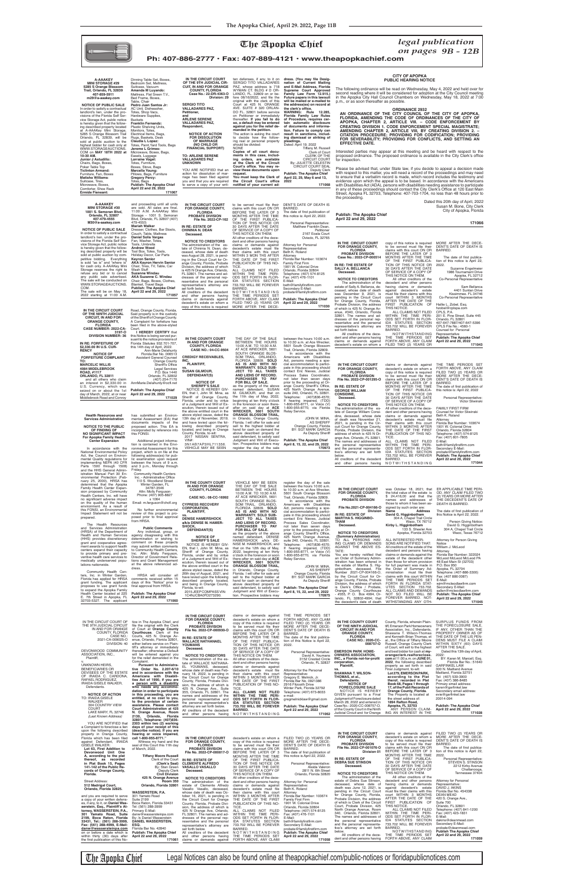The Apopka Chief Legal Notices can also be found online at theapopkachief.com/public-notices or floridapublicnotices.com



dress. (You may file Desig-<br>nation of Current Mailing

nation of Current Mailing<br>and E-Mail Address, Florida<br>Supreme Court Approved<br>Family Law Form 12.915.)<br>Future papers in this lawsuit<br>will be mailed or e-mailed to<br>the address(es) on record at

*on pages 9B - 12B*

**Ph: 407-886-2777 • Fax: 407-889-4121 • www.theapopkachief.com**

## **NOTICE TO THE PUBLIC OF FINDING OF NO SIGNIFICANT IMPACT**

In accordance with the<br>National Environmental Policy<br>mental Quality regulations for<br>implementing NEPA (40 CFR<br>Parts 1500 through 1508)<br>and the HHS General Administration Manual Part 30 En-vironmental Protection (February 25, 2000), HRSA has determined that the Apopka Family Health Center Expansion proposed by Community

**Health Resources and Services Administration**

**NO SIGNIFICANT IMPACT For Apopka Family Health Center Expansion**

has submitted an Environmental Assessment (EA) that documents impacts of the proposed action. This EA is incorporated by reference into this FONSI. Additional project informa-tion is contained in the Environmental Assessment for this

Friday.

Interested parties may appear at this meeting and be heard with respect to the<br>proposed ordinance. The proposed ordinance is available in the City Clerk's office for inspection.

the clerk's office.<br>WARNING: Rule 12.285,<br>Florida Family Law Rules **of Procedure, requires certain automatic disclosure of documents and informa-tion. Failure to comply can result in sanctions, includ-ing dismissal or striking of** 

> **IN THE CIRCUIT COURT FOR ORANGE COUNTY, FLORIDA PROBATE DIVISION Case No.: 2022-CP-000514 IN RE: THE ESTATE OF SALLY A. BELLANCA Deceased. NOTICE TO CREDITORS** The administration of the estate of Sally A. Bellanca, deceased, whose date of death was December 9, 2021, is ircuit Court for Orange County, Florida, Probate Division, the address of which is 425 N. Orange Av-enue, #340, Orlando, Florida 32801. The names and ad-dresses of the personal representative and the personal representative's attorney are of the decedent and other persons having claims or demands against decedent's estate on whom a copy of this notice is required MORE AFTER THE DECE-<br>to be served must file their DENT'S DATE OF DEATH IS<br>claims with this court ON OR BARRED. claims with this court ON OR BEFORE THE LATER OF 3 MONTHS AFTER THE TIME OF THE FIRST PUBLICA-TION OF THIS NOTICE OR 30 DAYS AFTER THE DATE OF SERVICE OF A COPY OF THIS NOTICE ON THEM. All other creditors of the decedent and other persons having claims or demands against decedent's estate<br>must file their claims with this<br>court WITHIN 3 MONTHS<br>AFTER THE DATE OF THE<br>FIRST PUBLICATION OF<br>FIRST PUBLICATION<br>THIN THE TIME PERI-<br>WITHIN THE TIME PERI-<br>ODS SET FORTH IN FLOR-IDA STATUTES SECTION 733.702 WILL BE FOREVER BARRED. NOTWITHSTANDING THE TIME PERIODS SET FORTH ABOVE, ANY CLAIM FILED TWO (2) YEARS OR The date of first publica-<br>tion of this notice is April 22, 2022. Suzanne Engelmeier 1986 Tournament Drive Apopka, FL 32712 Co-Personal Representative Hallie L. Zobel, Esq. hzobel@cplspa.com CPLS, P.A. 201 E. Pine Street, Suite 445 Orlando, FL 32801 407-647-7887/407-647-5396 CPLS File No.: 4560-1 Counsel for Personal Representative **Publish: The Apopka Chief April 22 and 29, 2022 IN THE CIRCUIT COURT FOR ORANGE COUNTY, FLORIDA PROBATE DIVISION File No. 2022-CP-001295-O IN RE: ESTATE OF GEORGE WILLIAM CONSIDINE, Deceased. NOTICE TO CREDITORS** The administration of the es-tate of George William Considine, deceased, whose date of death was November 21, 2021, is pending in the Cir-cuit Court for Orange County, Florida, Probate Division, the address of which is 425 N Orange Ave, Orlando, FL 32801. The names and addresses of and the personal representa-tive's attorney are set forth All creditors of the decedent claims or demands against THE TIME PERIODS SET<br>decedent's estate on whom a FORTH ABOVE, ANY CLAIM copy of this notice is required to be served must file their<br>claims with this court ON OR claims with this court ON OR<br>BEFORE THE LATER OF 3<br>MONTHS AFTER THE TIME<br>OF THE FIRST PUBLICA-<br>TION OF THIS NOTICE OR<br>30 DAYS AFTER THE DATE<br>30 DAYS AFTER THE DATE<br>OF SERVICE OF A COPY OF THIS NOTICE ON THEM. All other creditors of the dece-dent and other persons having claims or demands against<br>decedent's estate must file their claims with this court<br>WITHIN 3 MONTHS AFTER<br>THE DATE OF THE FIRST<br>PUBLICATION OF THIS NO-<br>TICE.<br>ALL CLAIMS NOT FILED WITHIN THE TIME PERI-ODS SET FORTH IN FLOR-IDA STATUTES SECTION 733.702 WILL BE FOREVER BARRED. N O T W I T H S T A N D I N G FAMILY FIRST FIRM Counsel for Victor Sliwinski Beth K. Roland Attorney Florida Bar Number: 103674 1901 W. Colonial Drive Orlando, Florida 32804 Telephone: (407) 574-8125 Fax: (407) 801-7805 E-Mail: beth@familyfirstfirm.com<br>Secondary E-Mail: probate@familyfirstfirm.com

| IN THE CIRCUIT COURT<br>OF THE NINTH JUDICIAL<br><b>CIRCUIT, IN AND FOR</b><br><b>ORANGE COUNTY,</b><br><b>FLORIDA</b><br><b>CASE NUMBER: 2022-CA-</b> | Road, Orange County, Florida.<br>Said property is in the custody<br>of the Sheriff of Orange County.<br>A Complaint for forfeiture has<br>been filed in the above-styled<br>Court. |
|--------------------------------------------------------------------------------------------------------------------------------------------------------|------------------------------------------------------------------------------------------------------------------------------------------------------------------------------------|
| 3197-0                                                                                                                                                 | <b>I HEREBY CERTIFY that</b>                                                                                                                                                       |
| <b>DIVISION NUMBER: 36</b>                                                                                                                             | this Notice is being served pur-<br>suant to the notice provisions of                                                                                                              |
| IN RE: FORFEITURE OF                                                                                                                                   | Florida Statutes 932.701-707,                                                                                                                                                      |
| \$2,330.00 IN U.S. CUR-                                                                                                                                | this 14th day of April, 2022.                                                                                                                                                      |
| <b>RENCY</b>                                                                                                                                           | <b>Ann-Marie Delahunty</b>                                                                                                                                                         |
| <b>NOTICE OF</b>                                                                                                                                       | Florida Bar No. 006513                                                                                                                                                             |
| <b>FORFEITURE COMPLAINT</b>                                                                                                                            | Assistant General Counsel                                                                                                                                                          |
| TO:                                                                                                                                                    | Orange County                                                                                                                                                                      |
| <b>MARCELIC WILLIS</b>                                                                                                                                 | <b>Sheriff's Office</b>                                                                                                                                                            |
| <b>4084 MIDDLEBROOK</b><br>ROAD, #1117                                                                                                                 | <b>Legal Services</b><br>P.O. Box 1440                                                                                                                                             |
| ORLANDO, FL 32811                                                                                                                                      | Orlando, FL 32802                                                                                                                                                                  |
| and all others who claim                                                                                                                               | (407) 254-7170                                                                                                                                                                     |
| an interest in \$2,330.00 in                                                                                                                           | AnnMarie.Delahunty@ocfl.net                                                                                                                                                        |
| U.S. Currency, which was                                                                                                                               |                                                                                                                                                                                    |
| seized on or about the 1st                                                                                                                             | Publish: The Apopka Chief                                                                                                                                                          |
| day of March, 2022, at or near                                                                                                                         | April 22 and 29, 2022<br>171029                                                                                                                                                    |
| Middlebrook Road and Conroy                                                                                                                            |                                                                                                                                                                                    |

 **A-AAAKEY MINI STORAGE #30 1001 S. Semoran Blvd, Orlando, FL 32807 407-479-4555 M30@a-aaakey.com**

**NOTICE OF PUBLIC SALE** In order to satisfy a contractual landlord's lien, under the provisions of the Florida Self Service Storage Act, public notice is hereby given that the following described property will be sold at public auction by competitive bidding. Everything is sold "as is" and "where is" for cash only. A-AAAKey Mini Storage reserves the right to refuse any bid or to cancel any public sale advertised. The sale will be conducted on WWW.STORAGEAUCTIONS. COM. The sale will be on May 18, 2022 starting at 11:00 A.M. **April 22 and 29, 2022 Mariah Walker Daniel Solis Vargas** Fan, Washer, Totes, Tools, Umbrella **Andrew Wood** Tool Box, Totes, Tools, Holiday Decor, Car Par **Keyron Senior AKA Keyron Hervin Senior** Chair, Tires, TV, Table, Car Wash Stuff **Suzanne Windau AKA Suzanne C. Windau** Chair, Bags, Boxes, Clothes, Blanket, Travel Bags **Publish: The Apopka Chief**

> project, which is on file at the<br>following address(es) for pub-<br>lic examination upon request between the hours of 9 a.m. and 3 p.m., Monday through Community Health Centers Inc. - Administrative Office<br>110 S. Woodland Street **IN THE COUNTY COURT**

**171057**

| <b>A-AAAKEY</b>                   | Dinning Table Set, Boxes      |
|-----------------------------------|-------------------------------|
| <b>MINI STORAGE #29</b>           | Bedroom Set, Mattress,        |
| 5285 S Orange Blossom             | Suitcase, Vacuum              |
| Trail, Orlando, FL 32839          | Amanda M Luyando:             |
| 407-859-5911                      | Mattress, Flat Sreen T.V.,    |
| m29@a-aaakey.com                  | Bed Frame, Boxes,             |
|                                   | Table, Chair                  |
| <b>NOTICE OF PUBLIC SALE</b>      | Pedro Juan Santos Jr:         |
| In order to satisfy a contractual | AC Unit, Dishwasher,          |
| landlord's lien, under the pro-   | Totes, Shop Vacs,             |
| visions of the Florida Self Ser-  | Hardware Supplies,            |
| vice Storage Act, public notice   | <b>Buckets</b>                |
| is hereby given that the follow-  | <b>Franklin Fernandz:</b>     |
| ing described property located    | Plastic Shelving Units,       |
| at A-AAAKey Mini Storage,         | Monitors, Totes,              |
| 5285 S Orange Blossom Trail       | Electrical Items, Bags,       |
| Orlando, FL 32839, will be        | Rugs, Baskets, Desk           |
| sold at public auction to the     | Claudia L Lopez:              |
| highest bidder for cash only at   | Totes, Paint, Yard Tools, B   |
| WWW.STORAGEAUCTIONS.              | Jerome L Grimes:              |
| COM on <b>MAY 18TH 2022 at</b>    | Microwave, Boxes, Bags,       |
| 10:30 AM.                         | Easels, Luggage               |
| Junior J Astudillo:               | Lorraine Vogel:               |
| Chairs, Bags, Boxes,              | Totes, Furniture,             |
| Poker Table Top                   | Boxes, Stove, Bags            |
| <b>Ticlinton Armand:</b>          | <b>Marcella Young:</b>        |
| Furniture, Fan, Boxes             | Pillows, Bags, Furniture      |
| Matisha Williams∶                 | <b>Gregory Percy:</b>         |
| Suitcase, Tires,                  | Totes, Bags                   |
| Microwave, Boxes,                 | <b>Publish: The Apopka Ch</b> |
| Comforter, Shoe Rack              | April 22 and 29, 2022         |
| <b>Ermide Fieneant:</b>           | 17                            |

| sion proposed by Community<br>Health Centers, Inc. will have        | Attn: Molly Ferguson<br>Phone: (407) 905-8827                     |                                                                 | <br>10:00 A.M. TO 10:30 A.M.                                                          | $10.00$ and $400$ model<br>5601 South Orange Blossom          | <b>FOR ORANGE COUNTY,</b>                                       | the total value of the estate is                                              | OD, ANY CLAIM FILED TWO                                            |
|---------------------------------------------------------------------|-------------------------------------------------------------------|-----------------------------------------------------------------|---------------------------------------------------------------------------------------|---------------------------------------------------------------|-----------------------------------------------------------------|-------------------------------------------------------------------------------|--------------------------------------------------------------------|
| no significant adverse impact                                       | x 1064                                                            | CASE NO.: 08-CC-16992                                           | AT ACE WRECKER, 5601<br>SOUTH ORANGE BLOS-                                            | Trail, Orlando, Florida 32809.<br>In accordance with the      | <b>FLORIDA</b><br><b>PROBATE DIVISION</b>                       | \$ 24,416,00 and that the<br>names and addresses of                           | (2) YEARS OR MORE AFTER<br>THE DECEDENT'S DATE OF                  |
| on the quality of the human<br>environment. As a result of          | Email: m.ferguson@chcfl.org                                       | <b>CYPRESS RECOVERY</b>                                         | SOM TRAIL, ORLANDO,                                                                   | Americans with Disabilities                                   |                                                                 | those to whom it has been as-                                                 | DEATH IS BARRED.                                                   |
| this FONSI, an Environmental                                        | No further environmental                                          | <b>CORPORATION,</b><br>PLAINTIFF,                               | FLORIDA 32809. SOLD<br>AS IS AND WITH NO                                              | Act. persons needing a spe-<br>cial accommodation to partici- | File No.2021-CP-004166-O<br>Division                            | signed by such order are:<br>Address<br>Name                                  | The date of first publication of                                   |
| Impact Statement will not be<br>prepared.                           | review of this project is pro-<br>posed prior to final approval   | VS.                                                             | <b>WARRANTY. SOLD SUB-</b>                                                            | pate in this proceeding should                                | IN RE: ESTATE OF                                                | David G. Higginbotham                                                         | this Notice is April 22, 2022.                                     |
|                                                                     | from HRSA.                                                        | <b>DENISE HAMERSHOCK</b><br>a/k/a DENISE M. HAMER-              | JECT TO ALL TAXES<br>AND LIENS OF RECORD.                                             | contact Eric Nieves, Judicial<br>Process Sales Coordinator,   | <b>MARTHA S. HIGGINBO-</b><br><b>THAM</b>                       | 304 A, Chapel Trail Circle<br>Waco, TX 76712                                  | Person Giving Notice:                                              |
| The Health Resources                                                |                                                                   | SHOCK,                                                          | PURCHASER TO PAY                                                                      | not later than seven days                                     | Deceased.                                                       | Kirby L. Higginbotham                                                         | David G. Higginbotham                                              |
| and Services Administration<br>(HRSA) of the Department of          | <b>Public Comments</b><br>Any individual, group, or               | DEFENDANT(S)                                                    | FOR BILL OF SALE.                                                                     | prior to the proceeding at Or-                                | <b>NOTICE TO CREDITORS</b>                                      | 133 S. Sheeler Ave<br>Apopka, Florida 32703                                   | 304 A, Chapel Trail Circle<br>Waco, Texas 76712                    |
| Health and Human Services                                           | agency disagreeing with this                                      | <b>NOTICE OF</b>                                                | as the property of the above<br>named defendant, DENISE                               | ange County Sheriff's Office,<br>425 North Orange Avenue,     | (Summary Administration)                                        |                                                                               |                                                                    |
| (HHS) provides discretionary<br>grant and cooperative agree-        | determination or wishing to<br>comment on these projects          | <b>SHERIFF'S SALE</b>                                           | HAMERSHOCK a/k/a DE-                                                                  | suite 240, Orlando, FL 32801.                                 | TO ALL PERSONS HAV-                                             | ALL INTERESTED PER-                                                           | Attorney for Person Giving                                         |
| ment awards to support health                                       | may submit written comments                                       | NOTICE IS HEREBY GIV-<br>EN, that I, John W. Mina, as           | NISE M. HAMERSHOCK, and<br>that on the 12th day of May,                               | Telephone: (407)836-4570;<br>If hearing impaired, (TDD)       | ING CLAIMS OR DEMANDS<br>AGAINST THE ABOVE ES-                  | SONS ARE NOTIFIED THAT:<br>All creditors of the estate of the                 | Notice<br>William J. McLeod                                        |
| centers expand their capacity                                       | to Community Health Centers.<br>Inc. Attn: Molly Ferguson,        | Sheriff of Orange County.                                       | 2022, beginning at ten thirty                                                         | 1-800-955-8771, or Voice (V)                                  | TATE:                                                           | decedent and persons having                                                   | Attorney                                                           |
| to provide primary and pre-<br>ventive health care services to      | Director of Government Rela-                                      | Florida, under and by virtue                                    | o'clock in the forenoon or soon                                                       | 1-800-955-8770, via Florida                                   | You are hereby notified that<br>an Order of Summary Admin-      | claims or demands against the<br>estate of the decedent other                 | Florida Bar Number: 322024<br>McLeod McLeod McLeod PA              |
| medically underserved popu-                                         | tions and Grant Management                                        | of a Judgment and Writ of Ex-<br>ecution, therein issued out of | there-after on said day at ACE<br>WRECKER, 5601 SOUTH                                 | Relay Service.                                                | istration has been entered in                                   | than those for whom provision                                                 | 48 East Main St (32703)                                            |
| lations nationwide.                                                 | at the above referenced ad-<br>dress.                             | the above entitled court in the                                 | <b>ORANGE BLOSSOM TRAIL,</b>                                                          | JOHN W. MINA                                                  | the estate of Martha S. Hig-                                    | for full payment was made in<br>the Order of Summary Ad-                      | P.O. Box 950                                                       |
| Community Health Cen-                                               |                                                                   | above styled cause, dated the<br>26th day of August, 2021, and  | in Orlando, Orange County,<br>Florida. I will offer for sale and                      | <b>AS SHERIFF</b><br>Orange County, Florida                   | ginbotham, deceased, File<br>Number 2021-CP-004166-O,           | ministration must file their                                                  | Apopka, FL 32704<br>Telephone: (407-886-3300)                      |
| ters, Inc. in Winter Garden,                                        | HRSA will consider all<br>comments received within 15             | have levied upon the following                                  | sell to the highest bidder at                                                         | BY: SGT MARK GARCIA                                           | by the Circuit Court for Or-                                    | claims with this court WITHIN                                                 | Fax: (407 886 0087)                                                |
| Florida has applied for HRSA<br>grant funding. The applicant        | days of this "Notice" prior to                                    | described property located,                                     | hand for cash on demand the                                                           | As Deputy Sheriff                                             | ange County, Florida, Probate<br>Division, the address of which | THE TIME PERIODS SET<br>FORTH IN FLORIDA STAT-                                | E-Mail:<br>wjm@mcleodlawfirm.com                                   |
| proposes to use grant funds                                         | final approval from HRSA.                                         | and being in Orange County,<br>Florida, to-wit:                 | above described property of<br>said defendant, to satisfy said                        | <b>Publish: The Apopka Chief</b>                              | is Clerk's Office / Probate,                                    | UTES SECTION 733.702.                                                         | Secondary E-Mail:                                                  |
| to expand the Apopka Family<br>Health Center located at 225         | <b>Publish: The Apopka Chief</b>                                  | 2015 JEEP COMPASS VIN:                                          | Judgment and Writ of Execu-                                                           | April 8, 15, 22, and 29, 2022                                 | Orange County Courthouse                                        | ALL CLAIMS AND DEMANDS                                                        | sallen@mcleodlawfirm.com                                           |
| E. 7th Street in Apopka, FL                                         | April 22 and 29, 2022                                             | 1C4NJCBA0FD273290.                                              | tion. Prospective bidders may                                                         | 170975                                                        | - #355, P. O. Box 4994, Or-<br>lando, FL 32802-4994; that       | NOT SO FILED WILL BE<br>FOREVER BARRED. NOT-                                  | Publish: The Apopka Chief<br>April 22 and 29, 2022                 |
| 32703-5327. The applicant                                           | 171060                                                            |                                                                 |                                                                                       |                                                               | the decedent's date of death                                    | WITHSTANDING ANY OTH-                                                         | 171045                                                             |
|                                                                     |                                                                   |                                                                 |                                                                                       |                                                               |                                                                 |                                                                               |                                                                    |
|                                                                     |                                                                   |                                                                 |                                                                                       |                                                               |                                                                 |                                                                               |                                                                    |
|                                                                     |                                                                   | IN THE CIRCUIT COURT<br><b>FOR ORANGE COUNTY.</b>               | claims or demands against<br>decedent's estate on whom a                              | THE TIME PERIODS SET<br>FORTH ABOVE, ANY CLAIM                |                                                                 |                                                                               |                                                                    |
| IN THE CIRCUIT COURT OF<br>THE 9TH JUDICIAL CIRCUIT                 | tice in The Apopka Chief, and<br>file the original with the Clerk | <b>FLORIDA</b>                                                  | copy of this notice is required                                                       | FILED TWO (2) YEARS OR                                        | IN THE COUNTY COURT                                             | County, Florida, wherein Plain-                                               | SURPLUS FUNDS FROM                                                 |
| IN AND FOR ORANGE                                                   | of Court at Orange County                                         | <b>PROBATE DIVISION</b><br>File No. 2022-CP-000930-O            | to be served must file their<br>claims with this court ON OR                          | MORE AFTER THE DECE-<br>DENT'S DATE OF DEATH IS               | OF THE NINTH JUDICIAL<br><b>CIRCUIT IN AND FOR</b>              | tiff, Emerson Park Homeowners<br>Association, Inc., Defendants.               | THE FORECLOSURE SALE,<br>IF ANY. OTHER THAN THE                    |
| COUNTY, FLORIDA                                                     | Courthouse, Clerk of the                                          |                                                                 | BEFORE THE LATER OF 3                                                                 | BARRED.                                                       | <b>ORANGE COUNTY,</b>                                           | Shawana T. Wilson-Thomas                                                      | PROPERTY OWNER AS OF                                               |
| CASE NO.:<br>2021-CA-009025-O                                       | Courts, 425 N. Orange Av-<br>enue, Orlando, Florida 32801,        | IN RE: ESTATE OF                                                | MONTHS AFTER THE TIME                                                                 | The date of the first publica-                                | <b>FLORIDA</b><br><b>CASE NO.: 2020-CC-</b>                     | and Kenneth Brian Thomas, et<br>al., the Office of Tiffany Moore              | THE DATE OF THE LIS PEN-<br>DENS MUST FILE A CLAIM                 |
| DIVISION: 40                                                        | either before service on Plain-                                   | <b>WALLACE NATHANAEL</b><br>YOUMANS                             | OF THE FIRST PUBLICA-<br>TION OF THIS NOTICE OR                                       | tion of this Notice is April 22,<br>2022.                     | 008757-0                                                        | Russell, Orange County Clerk                                                  | WITHIN SIXTY (60) DAYS                                             |
| DEVONWOOD COMMUNITY                                                 | tiff's attorney or immediately<br>thereafter; otherwise a Default | Deceased.                                                       | 30 DAYS AFTER THE DATE                                                                |                                                               |                                                                 | of Court, will sell to the highest<br>and best bidder for cash at my-         | AFTER THE SALE.                                                    |
| ASSOCIATION, INC.,                                                  | will be entered against you                                       | <b>NOTICE TO CREDITORS</b>                                      | OF SERVICE OF A COPY OF<br>THIS NOTICE ON THEM.                                       | Personal Representative:<br>David A. Youmans                  | <b>EMERSON PARK HOME-</b><br><b>OWNERS ASSOCIATION,</b>         | orangeclerk.realforeclose.                                                    | Dated this 13th day of April,<br>2022:                             |
| Plaintiff,                                                          | for the relief demanded in the                                    | The administration of the es-                                   | All other creditors of the dece-                                                      | 3152 Crested Circle                                           | INC., a Florida not-for-profit                                  | com at $11:00$ a.m. on JUNE 01,                                               | BY: Karen M. Marcell, Esq.                                         |
| UNKNOWN HEIRS,                                                      | Complaint.                                                        | tate of WALLACE NATHANA-                                        | dent and other persons having                                                         | Orlando, FL 32837                                             | corporation,                                                    | 2022, the following described                                                 | Florida Bar No.: 51640                                             |
|                                                                     |                                                                   |                                                                 |                                                                                       |                                                               |                                                                 |                                                                               |                                                                    |
| <b>BENEFICIARIES OR</b>                                             | <b>Pursuant to Administra-</b><br>tive Order No. 2.207-6/10       | EL YOUMANS, deceased,                                           | claims or demands against                                                             |                                                               | Plaintiff,                                                      | property as set forth in said<br>Final Judgment, to-wit:                      | <b>GARFINKEL LAW</b><br>300 N. Maitland Avenue                     |
| DEVISEES OF THE ESTATE                                              | and in accordance with the                                        | whose date of death was Feb-<br>ruary 18, 2022, is pending in   | decedent's estate must file<br>their claims with this court                           | Attorney for the Personal<br>Representative:                  | <b>SHAWANA T. WILSON-</b>                                       | Lot 279, EMERSON PARK,                                                        | Maitland, Florida 32751                                            |
| OF IRAIDA C. CARDONA,<br>RAFAEL RODRIGUEZ,                          | Americans with Disabili-<br>ties Act of 1990, if you are          | the Circuit Court for Orange                                    | WITHIN 3 MONTHS AFTER                                                                 | Gregory E. Melnick, Jr.                                       | THOMAS, et al.,                                                 | according to the Plat                                                         | Tel: (407) 539-3900                                                |
| IRAIDA GISELE WALKER,                                               | a person with a disability                                        | County, Florida, Probate Divi-<br>sion, the address of which is | THE DATE OF THE FIRST<br>PUBLICATION OF THIS NO-                                      | Florida Bar No. 0921386<br>2916 Fitzooth Drive                | Defendants.<br><b>NOTICE OF</b>                                 | therof, recorded in Plat<br>Book 68, Pages 1 through                          | Fax: (407) 386-8485<br>Primary email address:                      |
| Defendants.                                                         | who needs any accommo-                                            | 425 N. Orange Ave., Suite                                       | TICE.                                                                                 | Winter Park, Florida 32792                                    | <b>FORECLOSURE SALE</b>                                         | 17, of the Publi Records of                                                   | karen@garfinkel.law                                                |
| <b>NOTICE OF ACTION</b>                                             | dation in order to participate<br>in this proceeding, you are     | 355, Orlando, FL 32801. The                                     | ALL CLAIMS NOT FILED                                                                  | Telephone: (407) 673-8033<br>e-mail:                          | NOTICE IS HEREBY<br>GIVEN pursuant to a Final                   | Orange County, Florida.<br>The Property is located at                         | Secondary email address:<br>evie@garfinkel.law                     |
| TO: IRAIDA GISELE                                                   | entitled, at no cost to you,                                      | names and addresses of the<br>personal representative and       | WITHIN THE TIME PERI-<br>ODS SET FORTH IN FLOR-                                       | gregmelnicklaw@gmail.com                                      | Judgment of Foreclosure dated                                   | the street address of:                                                        | 20014-094                                                          |
| WALKER<br>304 COUNTRY VIEW                                          | to the provision of certain<br>assistance. Please contact         | the personal representative's                                   | <b>IDA STATUTES SECTION</b>                                                           |                                                               | March 28, 2022 and entered in                                   | 1894 Rafton Road,<br>Apopka, FL 32703                                         |                                                                    |
| <b>COURT</b>                                                        | Court Administration at 425                                       | attorney are set forth below.<br>All creditors of the decedent  | 733.702 WILL BE FOREVER<br><b>BARRED.</b>                                             | <b>Publish: The Apopka Chief</b><br>April 22 and 29, 2022     | Case No.: 2020-CC-008757-O,<br>of the County Court in the Ninth | ANY PERSON CLAIM-                                                             | Publish: The Apopka Chief<br>April 22 and 29, 2022                 |
| LAKE MARY, FL 32746<br>(Last Known Address)                         | N. Orange Avenue, Room<br>Orlando, Florida<br>2130,               | and other persons having                                        | NOTWITHSTANDING                                                                       | 171062                                                        | Judicial Circuit and for Orange                                 | ING AN INTEREST IN THE                                                        | 171028                                                             |
|                                                                     | 32801, Telephone: (407)836-                                       |                                                                 |                                                                                       |                                                               |                                                                 |                                                                               |                                                                    |
| YOU ARE NOTIFIED that<br>a Complaint to foreclose a lien            | 2303 within two (2) working<br>days of your receipt of this       |                                                                 |                                                                                       |                                                               |                                                                 |                                                                               |                                                                    |
| upon the following described                                        | (describe notice); If you are                                     |                                                                 |                                                                                       |                                                               |                                                                 |                                                                               |                                                                    |
| property in Orange County,                                          | hearing or voice impaired,                                        | IN THE CIRCUIT COURT                                            |                                                                                       |                                                               | IN THE CIRCUIT COURT<br><b>FOR ORANGE COUNTY,</b>               | claims or demands against<br>decedent's estate on whom a MORE AFTER THE DECE- | FILED TWO (2) YEARS OR                                             |
| Florida which has been filed<br>against Defendant, IRAIDA           | call 1-800-955-8771."<br>Witness my hand and the                  | FOR ORANGE COUNTY,                                              | decedent's estate on whom a FILED TWO (2) YEARS OR<br>copy of this notice is required | MORE AFTER THE DECE-                                          | <b>FLORIDA</b>                                                  | copy of this notice is required DENT'S DATE OF DEATH IS                       |                                                                    |
| <b>GISELE WALKER:</b>                                               | seal of this Court this 11th day                                  | <b>FLORIDA</b>                                                  | to be served must file their                                                          | DENT'S DATE OF DEATH IS                                       | <b>PROBATE DIVISION</b><br>File No. 2022-CP-001076-O            | to be served must file their<br>claims with this court ON OR                  | BARRED.<br>The date of first publica-                              |
| Lot 63, First Addition to<br>Devonwood Unit One                     | of March, 2022.                                                   | PROBATE DIVISION<br>File No. 2022-CP-000817-O                   | claims with this court ON OR<br>BEFORE THE LATER OF 3                                 | BARRED.<br>The date of first publication of                   | Division 01                                                     | BEFORE THE LATER OF 3                                                         | tion of this notice is April 22,                                   |
| A, according to the plat                                            | <b>Tiffany Moore Russell</b>                                      |                                                                 | MONTHS AFTER THE TIME                                                                 | this notice is April 22, 2022.                                |                                                                 | MONTHS AFTER THE TIME                                                         | 2022.                                                              |
| thereof, as recorded<br>in Plat Book 15, Pages                      | Clerk of the Court<br>(Clerk's Seal)                              | IN RE: ESTATE OF<br><b>CLEMENTE ALFREDO</b>                     | OF THE FIRST PUBLICA-<br>TION OF THIS NOTICE OR                                       | Personal Representative:                                      | IN RE: ESTATE OF<br><b>DEBRA SUE STINSON</b>                    | OF THE FIRST PUBLICA-<br>TION OF THIS NOTICE OR                               | Personal Representative:<br>STEVEN S. STINSON                      |
| 141-142 of the Public Re-                                           | By: Stan Green                                                    | <b>VASALLO VASALLO</b>                                          | 30 DAYS AFTER THE DATE                                                                | Aleida Valeron                                                | Deceased.                                                       | 30 DAYS AFTER THE DATE                                                        | 2212 Kirby Avenue                                                  |
| cords of Orange County,                                             | Deputy Clerk                                                      | Deceased.                                                       | OF SERVICE OF A COPY OF                                                               | 2811 N. 6th Street<br>Orlando, Florida 32820                  | <b>NOTICE TO CREDITORS</b>                                      | OF SERVICE OF A COPY OF<br>THIS NOTICE ON THEM.                               | Chattanooga,<br>Tennessee 37404                                    |
| Florida.                                                            | <b>Civil Division</b><br>425 N. Orange Avenue                     | <b>NOTICE TO CREDITORS</b>                                      | THIS NOTICE ON THEM.<br>All other creditors of the dece-                              |                                                               | The administration of the                                       | All other creditors of the                                                    |                                                                    |
| <b>Street Address:</b>                                              | <b>Room 350</b>                                                   | The administration of the                                       | dent and other persons having                                                         | Attorney for Personal                                         | estate of Debra Sue Stinson,<br>deceased, whose date of         | decedent and other persons<br>having claims or demands                        | <b>Attorney for Personal</b><br>Representative:                    |
| 512 Madrigal Court,<br>Orlando, Florida 32825.                      | Orlando, Florida 32801                                            | estate of Clemente Alfredo<br>Vasallo Vasallo, deceased,        | claims or demands against<br>decedent's estate must file                              | Representative:<br>Beth K. Roland                             | death was June 12, 2021, is                                     | against decedent's estate                                                     | DAVID J. AKINS                                                     |
|                                                                     | WASSERSTEIN, P.A.                                                 | whose date of death was Oc-                                     | their claims with this court                                                          | Attorney                                                      | pending in the Circuit Court                                    | must file their claims with this                                              | Florida Bar No. 454338                                             |
| and you are required to serve                                       | 301 Yamato Road<br><b>Suite 2199</b>                              | tober 16, 2021, is pending in                                   | WITHIN 3 MONTHS AFTER                                                                 | Florida Bar Number: 103674                                    | for Orange County, Florida,<br>Probate Division, the address    | court WITHIN 3 MONTHS<br>AFTER THE DATE OF THE                                | <b>DEAN MEAD</b><br>420 S. Orange Ave.,                            |
| a copy of your written defens-<br>es, if any, to it, on Daniel Was- | Boca Raton, Florida 33431                                         | the Circuit Court for Orange<br>County, Florida, Probate Divi-  | THE DATE OF THE FIRST<br>PUBLICATION OF THIS NO-                                      | <b>Family First Firm</b><br>1901 W. Colonial Drive            | of which is Clerk of the Circuit                                | FIRST PUBLICATION OF                                                          | Suite 700                                                          |
| serstein, Esq., Plaintiff's At-                                     | Tel: (561) 288-3999                                               | sion, the address of which is                                   | TICE.                                                                                 | Orlando, Florida 32804                                        | Court, Probate Division, 425<br>North Orange Avenue, Room       | THIS NOTICE.<br>ALL CLAIMS NOT FILED                                          | Orlando, FL 32801<br>Telephone: (407) 841-1200                     |
| torney, WASSERSTEIN, P.A.,<br>301 Yamato Road, Suite                | Primary E-Mail:<br>danw@wassersteinpa.com                         | 425 N Orange Ave, Orlando,<br>FL 32801. The names and ad-       | ALL CLAIMS NOT FILED<br>WITHIN THE TIME PERI-                                         | Telephone: (407) 574-8125<br>Fax: (407) 476-1101              | 340, Orlando, Florida 32801.                                    | WITHIN THE TIME PERI-                                                         | Fax: (407) 423-1831                                                |
| 2199, Boca Raton, Florida                                           | By: /s Daniel Wasserstein                                         | dresses of the personal rep-                                    | ODS SET FORTH IN FLOR-                                                                | E-Mail:                                                       | The names and addresses of                                      | ODS SET FORTH IN FLOR-                                                        | E-Mail:                                                            |
| 33431, Tel.: (561) 288-3999,<br>Fax: (561) 288-4999, E-Mail:        | <b>DANIEL WASSERSTEIN,</b><br>ESQ.                                | resentative and the personal<br>representative's attorney are   | IDA STATUTES SECTION<br>733.702 WILL BE FOREVER                                       | beth@familyfirstfirm.com<br>Secondary E-Mail:                 | the personal representative<br>and the personal representa-     | IDA STATUTES SECTION<br>733.702 WILL BE FOREVER                               | dakins@deanmead.com<br>Secondary E-Mail:                           |
| danw@wassersteinpa.com                                              | Florida Bar No. 42840                                             | set forth below.                                                | BARRED.                                                                               | probate@familyfirstfirm.com                                   | tive's attorney are set forth                                   | BARRED.                                                                       | probate@deanmead.com                                               |
| on or before a date which is<br>within thirty (30) days after       | <b>Publish: The Apopka Chief</b><br>April 22 and 29, 2022         | All creditors of the decedent<br>and other persons having       | NOTWITHSTANDING<br>THE TIME PERIODS SET                                               | Publish: The Apopka Chief<br>April 22 and 29, 2022            | below.<br>All creditors of the dece-                            | NOTWITHSTANDING<br>THE TIME PERIODS SET<br>FORTH ABOVE, ANY CLAIM             | <b>Publish The Apopka Chief</b><br>April 22 and 29, 2022<br>171059 |

#### **CITY OF APOPKA PUBLIC HEARING NOTICE**

The following ordinance will be read on Wednesday, May 4, 2022 and held over for second reading where it will be considered for adoption at the City Council meeting in the Apopka City Hall Council Chambers on Wednesday, May 18, 2022 at 7:00 p.m., or as soon thereafter as possible.

**ORDINANCE 2932 AN ORDINANCE OF THE CITY COUNCIL OF THE CITY OF APOPKA, FLORIDA, AMENDING THE CODE OF ORDINANCES OF THE CITY OF APOPKA, CHAPTER 2, ARTICLE VIII. – CODE ENFORCEMENT BY**  CREATING DIVISION 1. CODE ENFORCEMENT SPECIAL MAGISTRATE;<br>AMENDING CHAPTER 2, ARTICLE VIII, BY CREATING DIVISION 2. –<br>CITATION PROCEDURE; PROVIDING FOR CODIFICATION; PROVIDING<br>FOR SEVERABILITY; PROVIDING FOR CONFLICTS, AND **EFFECTIVE DATE.**

Please be advised that, under State law, if you decide to appeal a decision made with respect to this matter, you will need a record of the proceedings and may need to ensure that a verbatim record is made, which record includes the testimony and evidence upon which the appeal is to be based. In accordance with the Americans with Disabilities Act (ADA), persons with disabilities needing assistance to participate<br>in any of these proceedings should contact the City Clerk's Office at 120 East Main Street, Apopka FL 32703, Telephone: 407-703-1704, no less than 48 hours prior to the proceeding.

Winter Garden, FL 34787-3546 **IN AND FOR ORANGE COUNTY, FLORIDA** Dated this 20th day of April, 2022 Susan M. Bone, City Clerk City of Apopka, Florida

**Publish: The Apopka Chief April 22 and 29, 2022** 

**171066**

**pleadings.** Dated: April 19, 2022

 Tiffany M. Russell Clerk of Court CLERK OF THE CIRCUIT COURT By: JULIETTE CELESTIN CIRCUIT COURT SEAL Deputy Clerk

**Publish: The Apopka Chief April 22, 29, May 6 and 13, 2022**

**171068**

| Dinning Table Set, Boxes,<br>Bedroom Set, Mattress,<br>Suitcase, Vacuum<br>Amanda M Luyando:<br>Mattress, Flat Sreen T.V.,<br>Bed Frame, Boxes,<br>Table, Chair<br>Pedro Juan Santos Jr:<br>AC Unit. Dishwasher.<br>Totes, Shop Vacs,<br>Hardware Supplies,<br><b>Buckets</b><br><b>Franklin Fernandz:</b><br>Plastic Shelving Units,<br>Monitors, Totes,<br>Electrical Items, Bags,<br>Rugs, Baskets, Desk<br>Claudia L Lopez:<br>Totes, Paint, Yard Tools, Bags<br>Jerome L Grimes:<br>Microwave, Boxes, Bags,<br>Easels, Luggage<br>Lorraine Vogel:<br>Totes, Furniture,<br>Boxes, Stove, Bags<br>Marcella Young:<br>Pillows, Bags, Furniture<br><b>Gregory Percy:</b><br>Totes, Bags<br><b>Publish: The Apopka Chief</b><br>April 22 and 29, 2022 | IN THE CIRCUIT COURT<br>OF THE 9TH JUDICIAL CIR-<br><b>CUIT. IN AND FOR ORANGE</b><br><b>COUNTY, FLORIDA</b><br>Case No.: 22-DR-4363-O<br>Division: 29<br><b>SERGIO TITO</b><br><b>VALLADARES PAZ,</b><br>Petitioner.<br>and<br><b>ARLENE SERENE</b><br><b>VALLADARES PAZ.</b><br>Respondent,<br><b>NOTICE OF ACTION</b><br><b>FOR DISSOLUTION</b><br><b>OF MARRIAGE</b><br>(NO CHILD OR<br><b>FINANCIAL SUPPORT)</b><br><b>TO: ARLENE SERENE</b><br><b>VALLADARES PAZ</b><br><b>UNKNOWN</b><br>YOU ARE NOTIFIED that an<br>action for dissolution of mar-<br>riage has been filed against<br>you and that you are required<br>to serve a copy of your writ- | ten defenses, if any, to it on<br>SERGIO TITO VALLADARES<br>PAZ, whose address is 718<br>WYMAN CT. BLDG # D OR-<br>LANDO, FL. 32809 on or be-<br>fore 06/16/2022, and file the<br>original with the clerk of this<br>Court at 425 N. ORANGE<br>AVE. SUITE # 320 ORLAN-<br>DO FL. 32801 before service<br>on Petitioner or immediately<br>thereafter. If you fail to do<br>so, a default may be entered<br>against you for the relief de-<br>manded in the petition.<br>The action is asking the court<br>to decide how the follow-<br>ing real or personal property<br>should be divided:<br><b>NONE</b><br>Copies of all court docu-<br>ments in this case, includ-<br>ing orders, are available<br>at the Clerk of the Circuit<br>Court's office. You may re-<br>view these documents upon<br>request.<br>You must keep the Clerk of<br>the Circuit Court's office<br>notified of your current ad- |
|-------------------------------------------------------------------------------------------------------------------------------------------------------------------------------------------------------------------------------------------------------------------------------------------------------------------------------------------------------------------------------------------------------------------------------------------------------------------------------------------------------------------------------------------------------------------------------------------------------------------------------------------------------------------------------------------------------------------------------------------------------|--------------------------------------------------------------------------------------------------------------------------------------------------------------------------------------------------------------------------------------------------------------------------------------------------------------------------------------------------------------------------------------------------------------------------------------------------------------------------------------------------------------------------------------------------------------------------------------------------------------------------------------------------------------|------------------------------------------------------------------------------------------------------------------------------------------------------------------------------------------------------------------------------------------------------------------------------------------------------------------------------------------------------------------------------------------------------------------------------------------------------------------------------------------------------------------------------------------------------------------------------------------------------------------------------------------------------------------------------------------------------------------------------------------------------------------------------------------------------------------------------------------------------------------------------------------------------|
| 171067                                                                                                                                                                                                                                                                                                                                                                                                                                                                                                                                                                                                                                                                                                                                                |                                                                                                                                                                                                                                                                                                                                                                                                                                                                                                                                                                                                                                                              |                                                                                                                                                                                                                                                                                                                                                                                                                                                                                                                                                                                                                                                                                                                                                                                                                                                                                                      |
| and proceeding until all units<br>are sold. All sales are final.<br>11:00 A.M. A-AAAKey Mini<br>Storage - 1001 S. Semoran<br>Blvd, Orlando, FL 32807 (407)<br>479-4555:                                                                                                                                                                                                                                                                                                                                                                                                                                                                                                                                                                               | IN THE CIRCUIT COURT<br><b>FOR ORANGE COUNTY.</b><br><b>FLORIDA</b><br><b>PROBATE DIVISION</b><br>File No. 2022-CP-162                                                                                                                                                                                                                                                                                                                                                                                                                                                                                                                                       | to be served must file their<br>claims with this court ON OR<br>BEFORE THE LATER OF 3<br>MONTHS AFTER THE TIME<br>OF THE FIRST PUBLICA-<br>TION OF THIS NOTICE OR                                                                                                                                                                                                                                                                                                                                                                                                                                                                                                                                                                                                                                                                                                                                    |
| <b>Mariah Walker</b><br>Dresser, Clothes, Bar Stools,<br>Couch, Table, Mattress<br><b>Daniel Solis Vargas</b>                                                                                                                                                                                                                                                                                                                                                                                                                                                                                                                                                                                                                                         | IN RE: ESTATE OF<br><b>CHININIA N. DEAN</b><br>Deceased.                                                                                                                                                                                                                                                                                                                                                                                                                                                                                                                                                                                                     | 30 DAYS AFTER THE DATE<br>OF SERVICE OF A COPY OF<br>THIS NOTICE ON THEM.<br>All other creditors of the dece-                                                                                                                                                                                                                                                                                                                                                                                                                                                                                                                                                                                                                                                                                                                                                                                        |
| Fan, Washer, Totes,<br>Tools, Umbrella<br><b>Andrew Wood</b><br>Tool Box, Totes, Tools,<br><b>Holidav Decor, Car Parts</b>                                                                                                                                                                                                                                                                                                                                                                                                                                                                                                                                                                                                                            | <b>NOTICE TO CREDITORS</b><br>The administration of the es-<br>tate of Chininia N. Dean, de-<br>ceased, whose date of death<br>was August 28, 2021 is nend-                                                                                                                                                                                                                                                                                                                                                                                                                                                                                                  | dent and other persons having<br>claims or demands against<br>decedent's estate must file<br>their claims with this court<br>WITHIN 3 MON THS AFTER                                                                                                                                                                                                                                                                                                                                                                                                                                                                                                                                                                                                                                                                                                                                                  |

and other persons having

Sam Bellanca 4401 Suntan Drive Kissimmee. FL 34746 Co-Personal Representative **171043** FORTH ABOVE, ANY CLAIM<br>FILED TWO (2) YEARS OR MORE AFTER THE DECE-DENT'S DATE OF DEATH IS BARRED. The date of first publication of<br>this notice is: April 22, 2022 Personal Representative: Victor Sliwinski

**Publish: The Apopka Chief April 22 and 29, 2022 171044**

**FLORIDA**

| <b>Apopka Chief</b>               | pending in the C<br>for Orange Coun                                                                   |  |  |  |
|-----------------------------------|-------------------------------------------------------------------------------------------------------|--|--|--|
| 9, 2022<br>171030                 | Probate Division, t<br>of which is 425 N.                                                             |  |  |  |
|                                   | enue, #340, Orlar<br>32801. The name<br>dresses of the pe<br>resentative and th<br>representative's a |  |  |  |
| ours 10:00 a.m.<br>at Aco Wrocker | set forth below.<br>All creditors o<br>dent and other pers<br>claims or deman                         |  |  |  |

**IN THE CIRCUIT COURT**  was October 18, 2021; that ER APPLICABLE TIME PERI-

the personal representative below. **170973**

was August 28, 2021, is pend-ing in the Circuit Court for Orange County, Florida, Probate Division, the address of which is 425 N Orange Ave, Orlando, FL 32801. The names and addresses of the personal rep-resentative and the personal representative's attorney are set forth below. All creditors of the decedent and other persons having claims or demands against decedent's estate on whom a copy of this notice is required to be served must file their<br>claims with this court ON OR BEFORE THE LATER OF 3 MONTHS AFTER THE TIME PUBLICA-TION OF THIS NOTICE OR 30 DAYS AFTER THE DATE A COPY OF<br>I THEM. THIS NOTICE ON THEM. All other creditors of the dece-dent and other persons having claims or demands against<br>decedent's estate must file their claims with this court<br>WITHIN 3 MON THS AFTER<br>THE DATE OF THE FIRST<br>PUBLICATION OF THIS NO-TICE. ALL CLAIMS NOT FILED WITHIN THE TIME PERI-ODS SET FORTH IN FLOR-<br>IDA STATUTES SECTION<br>733.702 WILL BE FOREVER<br>BARRED.<br>NOTWITHSTANDING THE TIME PERIODS SET FORTH ABOVE, ANY CLAIM FILED TWO (2) YEARS OR MORE AFTER THE DECE- DENT'S DATE OF DEATH IS

The date of first publication of<br>this notice is: April 22, 2022.

BARRED.

**The Apopka Chief** *legal publication* 

Personal Representative: Matthew Franklin Dean, Petitioner 2167 Eoala Court Oviedo, FL 32765

Attorney for Personal Representative: Beth K. Roland<br>Attorney Attorney Florida Bar Number: 103674 Family First Firm 1901 W. Colonial Drive Orlando, Florida 32804 Telephone: (407) 574-8125 Fax: (407) 476-1101<br>E-Mail:<br>beth@familyfirstfirm.com<br>Secondary E-Mail:<br>probate@familyfirstfirm.com **Publish: The Apopka Chief April 22 and 29, 2022**

**IN THE COUNTY COURT IN AND FOR ORANGE COUNTY, FLORIDA CASE NO.: 04-CC-9504 CREDIGY RECEIVABLES,** 

**INC, PLAINTIFF, vs. SUSAN GILMOUR, DEFENDANT(S)**

**NOTICE OF SHERIFF'S SALE** NOTICE IS HEREBY GIV-EN, that I, John W. Mina, as Sheriff of Orange County, Florida, under and by virtue of a Judgment and Writ of Ex-ecution, therein issued out of the above entitled court in the above styled cause, dated the 13th day of November, 2019, and have levied upon the following described property located, and being in Orange County, Florida, to-wit: 2017 NISSAN SENTRA, VIN#: 3N1AB7AP3HL711356. VEHICLE MAY BE SEEN

THE DAY OF THE SALE BETWEEN THE HOURS 10:00 A.M. TO 10:30 A.M. AT ACE WRECKER, 5601 SOUTH ORANGE BLOS-SOM TRAIL, ORLANDO, FLORIDA 32809. **SOLD AS IS AND WITH NO WARRANTY. SOLD SUB-**JECT TO ALL TAXES<br>PURCHASER TO PAY<br>PURCHASER TO PAY<br>FOR BILL OF SALE.<br>as the property of the above<br>named defendant, SUSAN<br>M. GILMOUR, and that on<br>the 11th day of May, 2022,<br>beginning at ten thirty o'clock in the forenoon or soon there-after on said day at **ACE WRECKER, 5601 SOUTH ORANGE BLOSSOM TRAIL,**  in Orlando, Orange County, Florida. I will offer for sale and sell to the highest bidder at hand for cash on demand the above described property of

between the hours 10:00 a.m. to 10:30 a.m. at Ace Wrecker, 5601 South Orange Blossom Trail, Orlando, Florida 32809. In accordance with the Americans with Disabilities Act, persons needing a spe-cial accommodation to participate in this proceeding should contact Eric Nieves, Judicial Process Sales Coordinator, not later than seven days prior to the proceeding at Or-<br>ange County Sheriff's Office.<br>425 North Orange Avenue,<br>suite 240, Orlando, FL 32801.<br>Telephone: (407)836-4570;<br>f hearing impaired, (TDD)<br>1-800-955-8771, or Voice (V)<br>1-800-955-8770, via Flori Relay Service.

said defendant, to satisfy said Judgment and Writ of Execu-tion. Prospective bidders may register the day of the sale JOHN W. MINA, AS SHERIFF Orange County, Florida BY: SGT MARK GARCIA As Deputy Sheriff **Publish: The Apopka Chief April 8, 15, 22, and 29, 2022**

VEHICLE MAY BE SEEN THE DAY OF THE SALE BETWEEN THE HOURS

register the day of the sale between the hours 10:00 a.m. to 10:30 a.m. at Ace Wrecker,